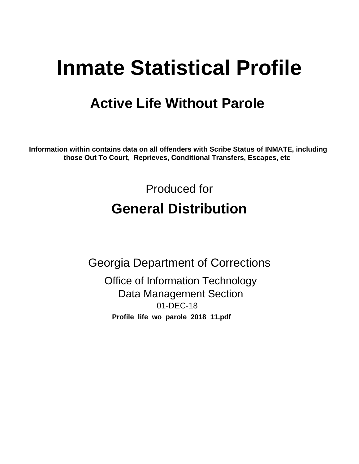# **Inmate Statistical Profile**

# **Active Life Without Parole**

Information within contains data on all offenders with Scribe Status of INMATE, including those Out To Court, Reprieves, Conditional Transfers, Escapes, etc

> Produced for **General Distribution**

**Georgia Department of Corrections Office of Information Technology Data Management Section** 01-DEC-18 Profile\_life\_wo\_parole\_2018\_11.pdf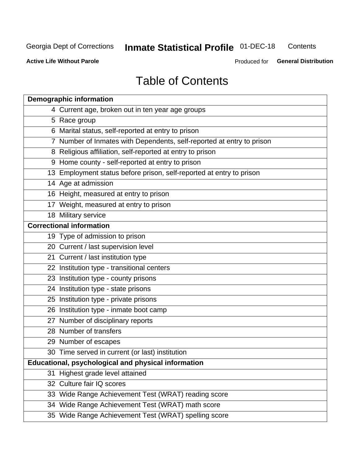#### **Inmate Statistical Profile 01-DEC-18** Contents

**Active Life Without Parole** 

Produced for General Distribution

# **Table of Contents**

|    | <b>Demographic information</b>                                        |
|----|-----------------------------------------------------------------------|
|    | 4 Current age, broken out in ten year age groups                      |
|    | 5 Race group                                                          |
|    | 6 Marital status, self-reported at entry to prison                    |
|    | 7 Number of Inmates with Dependents, self-reported at entry to prison |
|    | 8 Religious affiliation, self-reported at entry to prison             |
|    | 9 Home county - self-reported at entry to prison                      |
|    | 13 Employment status before prison, self-reported at entry to prison  |
|    | 14 Age at admission                                                   |
|    | 16 Height, measured at entry to prison                                |
|    | 17 Weight, measured at entry to prison                                |
|    | 18 Military service                                                   |
|    | <b>Correctional information</b>                                       |
|    | 19 Type of admission to prison                                        |
|    | 20 Current / last supervision level                                   |
|    | 21 Current / last institution type                                    |
|    | 22 Institution type - transitional centers                            |
|    | 23 Institution type - county prisons                                  |
|    | 24 Institution type - state prisons                                   |
|    | 25 Institution type - private prisons                                 |
|    | 26 Institution type - inmate boot camp                                |
|    | 27 Number of disciplinary reports                                     |
|    | 28 Number of transfers                                                |
|    | 29 Number of escapes                                                  |
|    | 30 Time served in current (or last) institution                       |
|    | Educational, psychological and physical information                   |
| 31 | Highest grade level attained                                          |
|    | 32 Culture fair IQ scores                                             |
|    | 33 Wide Range Achievement Test (WRAT) reading score                   |
|    | 34 Wide Range Achievement Test (WRAT) math score                      |
|    | 35 Wide Range Achievement Test (WRAT) spelling score                  |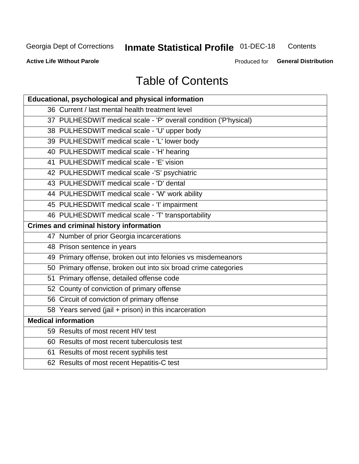# **Inmate Statistical Profile 01-DEC-18**

Contents

**Active Life Without Parole** 

Produced for General Distribution

# **Table of Contents**

| <b>Educational, psychological and physical information</b>       |
|------------------------------------------------------------------|
| 36 Current / last mental health treatment level                  |
| 37 PULHESDWIT medical scale - 'P' overall condition ('P'hysical) |
| 38 PULHESDWIT medical scale - 'U' upper body                     |
| 39 PULHESDWIT medical scale - 'L' lower body                     |
| 40 PULHESDWIT medical scale - 'H' hearing                        |
| 41 PULHESDWIT medical scale - 'E' vision                         |
| 42 PULHESDWIT medical scale -'S' psychiatric                     |
| 43 PULHESDWIT medical scale - 'D' dental                         |
| 44 PULHESDWIT medical scale - 'W' work ability                   |
| 45 PULHESDWIT medical scale - 'I' impairment                     |
| 46 PULHESDWIT medical scale - 'T' transportability               |
| <b>Crimes and criminal history information</b>                   |
| 47 Number of prior Georgia incarcerations                        |
| 48 Prison sentence in years                                      |
| 49 Primary offense, broken out into felonies vs misdemeanors     |
| 50 Primary offense, broken out into six broad crime categories   |
| 51 Primary offense, detailed offense code                        |
| 52 County of conviction of primary offense                       |
| 56 Circuit of conviction of primary offense                      |
| 58 Years served (jail + prison) in this incarceration            |
| <b>Medical information</b>                                       |
| 59 Results of most recent HIV test                               |
| 60 Results of most recent tuberculosis test                      |
| 61 Results of most recent syphilis test                          |
| 62 Results of most recent Hepatitis-C test                       |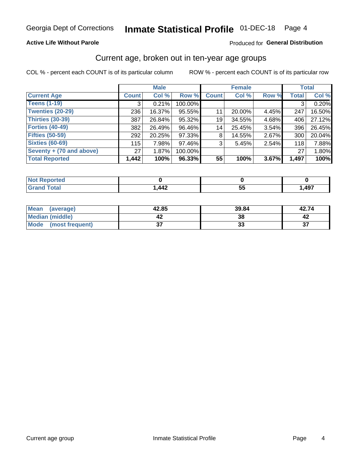### **Active Life Without Parole**

### Produced for General Distribution

### Current age, broken out in ten-year age groups

COL % - percent each COUNT is of its particular column

|                          | <b>Male</b>  |        |         | <b>Female</b> |        |          | <b>Total</b> |        |
|--------------------------|--------------|--------|---------|---------------|--------|----------|--------------|--------|
| <b>Current Age</b>       | <b>Count</b> | Col %  | Row %   | <b>Count</b>  | Col %  | Row %    | <b>Total</b> | Col %  |
| <b>Teens (1-19)</b>      | 3            | 0.21%  | 100.00% |               |        |          | 3            | 0.20%  |
| <b>Twenties (20-29)</b>  | 236          | 16.37% | 95.55%  | 11            | 20.00% | 4.45%    | 247          | 16.50% |
| Thirties (30-39)         | 387          | 26.84% | 95.32%  | 19            | 34.55% | 4.68%    | 406          | 27.12% |
| <b>Forties (40-49)</b>   | 382          | 26.49% | 96.46%  | 14            | 25.45% | 3.54%    | 396          | 26.45% |
| <b>Fifties (50-59)</b>   | 292          | 20.25% | 97.33%  | 8             | 14.55% | $2.67\%$ | 300          | 20.04% |
| <b>Sixties (60-69)</b>   | 115          | 7.98%  | 97.46%  | 3             | 5.45%  | 2.54%    | 118          | 7.88%  |
| Seventy + (70 and above) | 27           | 1.87%  | 100.00% |               |        |          | 27           | 1.80%  |
| <b>Total Reported</b>    | 1,442        | 100%   | 96.33%  | 55            | 100%   | 3.67%    | 1,497        | 100%   |

| <b>Not Reported</b> |      |                 |      |
|---------------------|------|-----------------|------|
| <b>Total</b>        | ,442 | --<br><u>JJ</u> | ,497 |

| Mean<br>(average)       | 42.85   | 39.84    | 42.74         |
|-------------------------|---------|----------|---------------|
| Median (middle)         |         | 38       |               |
| Mode<br>(most frequent) | ^<br>v, | n.<br>JJ | $\sim$<br>. پ |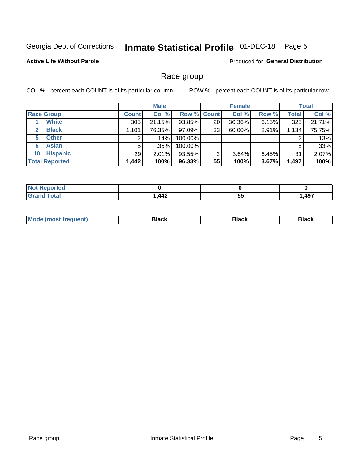#### **Inmate Statistical Profile 01-DEC-18** Page 5

### **Active Life Without Parole**

**Produced for General Distribution** 

### Race group

COL % - percent each COUNT is of its particular column

|                              | <b>Male</b>  |         |                    | <b>Female</b> |        |          | <b>Total</b> |        |
|------------------------------|--------------|---------|--------------------|---------------|--------|----------|--------------|--------|
| <b>Race Group</b>            | <b>Count</b> | Col %   | <b>Row % Count</b> |               | Col %  | Row %    | <b>Total</b> | Col %  |
| <b>White</b>                 | 305          | 21.15%  | 93.85%             | 20            | 36.36% | 6.15%    | 325          | 21.71% |
| <b>Black</b><br>$\mathbf{2}$ | 1,101        | 76.35%  | $97.09\%$          | 33            | 60.00% | 2.91%    | 1,134        | 75.75% |
| <b>Other</b><br>5.           |              | $.14\%$ | 100.00%            |               |        |          | 2            | .13%   |
| <b>Asian</b><br>6            | 5            | $.35\%$ | 100.00%            |               |        |          | 5            | .33%   |
| <b>Hispanic</b><br>10        | 29           | 2.01%   | 93.55%             | 2             | 3.64%  | $6.45\%$ | 31           | 2.07%  |
| <b>Total Reported</b>        | 1,442        | 100%    | 96.33%             | 55            | 100%   | 3.67%    | 1,497        | 100%   |

| .<br>rteo<br>w.        |                  |     |      |
|------------------------|------------------|-----|------|
| $f \wedge f \wedge f'$ | $\boldsymbol{M}$ | --  | ,497 |
| _____                  | <b>TTA</b>       | IJ. |      |

| M | - - - |  |
|---|-------|--|
|   |       |  |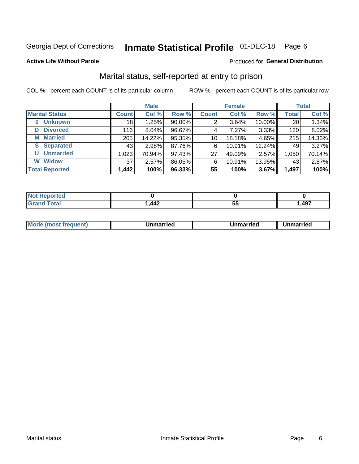#### **Inmate Statistical Profile 01-DEC-18** Page 6

#### **Active Life Without Parole**

### **Produced for General Distribution**

### Marital status, self-reported at entry to prison

COL % - percent each COUNT is of its particular column

|                            | <b>Male</b>     |          |        | <b>Female</b>   |        |        | <b>Total</b> |        |
|----------------------------|-----------------|----------|--------|-----------------|--------|--------|--------------|--------|
| <b>Marital Status</b>      | <b>Count</b>    | Col %    | Row %  | <b>Count</b>    | Col %  | Row %  | <b>Total</b> | Col %  |
| <b>Unknown</b><br>$\bf{0}$ | 18 <sub>1</sub> | 1.25%    | 90.00% | 2               | 3.64%  | 10.00% | 20           | 1.34%  |
| <b>Divorced</b><br>D       | 116             | $8.04\%$ | 96.67% | 4               | 7.27%  | 3.33%  | 120          | 8.02%  |
| <b>Married</b><br>М        | 205             | 14.22%   | 95.35% | 10 <sup>1</sup> | 18.18% | 4.65%  | 215          | 14.36% |
| <b>Separated</b><br>S.     | 43              | 2.98%    | 87.76% | 6               | 10.91% | 12.24% | 49           | 3.27%  |
| <b>Unmarried</b><br>U      | 1,023           | 70.94%   | 97.43% | 27              | 49.09% | 2.57%  | 1,050        | 70.14% |
| <b>Widow</b><br>W          | 37              | 2.57%    | 86.05% | 6               | 10.91% | 13.95% | 43           | 2.87%  |
| <b>Total Reported</b>      | 1,442           | 100%     | 96.33% | 55              | 100%   | 3.67%  | 1,497        | 100%   |

| <b>prted</b><br>NOT |     |     |        |
|---------------------|-----|-----|--------|
| <b>Total</b>        | 442 | ັບພ | 497, ا |

|  | M | . | Unmarried | າmarried<br>_____ |
|--|---|---|-----------|-------------------|
|--|---|---|-----------|-------------------|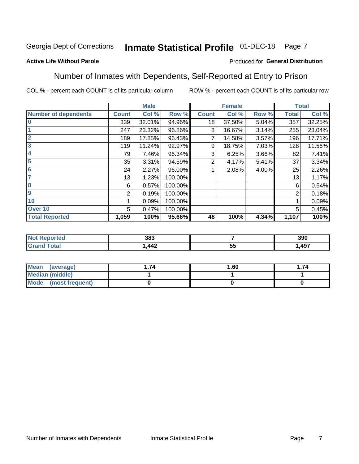#### Inmate Statistical Profile 01-DEC-18 Page 7

### **Active Life Without Parole**

### Produced for General Distribution

### Number of Inmates with Dependents, Self-Reported at Entry to Prison

COL % - percent each COUNT is of its particular column

|                             |              | <b>Male</b> |         |              | <b>Female</b> |       |              | <b>Total</b> |
|-----------------------------|--------------|-------------|---------|--------------|---------------|-------|--------------|--------------|
| <b>Number of dependents</b> | <b>Count</b> | Col %       | Row %   | <b>Count</b> | Col %         | Row % | <b>Total</b> | Col %        |
| $\bf{0}$                    | 339          | 32.01%      | 94.96%  | 18           | 37.50%        | 5.04% | 357          | 32.25%       |
|                             | 247          | 23.32%      | 96.86%  | 8            | 16.67%        | 3.14% | 255          | 23.04%       |
| $\overline{2}$              | 189          | 17.85%      | 96.43%  | 7            | 14.58%        | 3.57% | 196          | 17.71%       |
| 3                           | 119          | 11.24%      | 92.97%  | 9            | 18.75%        | 7.03% | 128          | 11.56%       |
| 4                           | 79           | 7.46%       | 96.34%  | 3            | 6.25%         | 3.66% | 82           | 7.41%        |
| 5                           | 35           | 3.31%       | 94.59%  | 2            | 4.17%         | 5.41% | 37           | 3.34%        |
| $6\phantom{1}6$             | 24           | 2.27%       | 96.00%  |              | 2.08%         | 4.00% | 25           | 2.26%        |
| 7                           | 13           | 1.23%       | 100.00% |              |               |       | 13           | 1.17%        |
| $\overline{\mathbf{8}}$     | 6            | 0.57%       | 100.00% |              |               |       | 6            | 0.54%        |
| $\boldsymbol{9}$            | 2            | 0.19%       | 100.00% |              |               |       | 2            | 0.18%        |
| 10                          |              | 0.09%       | 100.00% |              |               |       |              | 0.09%        |
| Over 10                     | 5            | 0.47%       | 100.00% |              |               |       | 5            | 0.45%        |
| <b>Total Reported</b>       | 1,059        | 100%        | 95.66%  | 48           | 100%          | 4.34% | 1,107        | 100%         |

| ιcυ | 383             |                      | 390  |
|-----|-----------------|----------------------|------|
|     | $\bm{A}$<br>--- | --<br>$\cdots$<br>JJ | ,497 |

| Mean (average)          | 74 | 1.60 | . 74 |
|-------------------------|----|------|------|
| <b>Median (middle)</b>  |    |      |      |
| Mode<br>(most frequent) |    |      |      |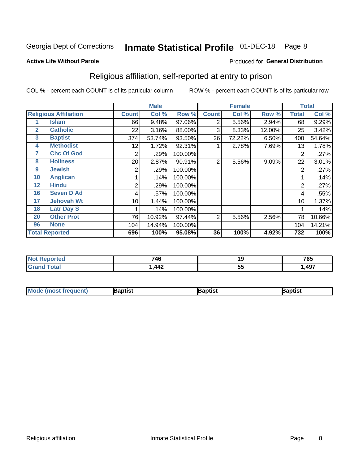#### **Inmate Statistical Profile 01-DEC-18** Page 8

#### **Active Life Without Parole**

### Produced for General Distribution

### Religious affiliation, self-reported at entry to prison

COL % - percent each COUNT is of its particular column

|              |                              |              | <b>Male</b> |         |              | <b>Female</b> |        |                | <b>Total</b> |
|--------------|------------------------------|--------------|-------------|---------|--------------|---------------|--------|----------------|--------------|
|              | <b>Religious Affiliation</b> | <b>Count</b> | Col %       | Row %   | <b>Count</b> | Col %         | Row %  | <b>Total</b>   | Col %        |
|              | <b>Islam</b>                 | 66           | 9.48%       | 97.06%  | 2            | 5.56%         | 2.94%  | 68             | 9.29%        |
| $\mathbf{2}$ | <b>Catholic</b>              | 22           | 3.16%       | 88.00%  | 3            | 8.33%         | 12.00% | 25             | 3.42%        |
| $\mathbf{3}$ | <b>Baptist</b>               | 374          | 53.74%      | 93.50%  | 26           | 72.22%        | 6.50%  | 400            | 54.64%       |
| 4            | <b>Methodist</b>             | 12           | 1.72%       | 92.31%  |              | 2.78%         | 7.69%  | 13             | 1.78%        |
| 7            | <b>Chc Of God</b>            | 2            | .29%        | 100.00% |              |               |        | 2              | .27%         |
| 8            | <b>Holiness</b>              | 20           | 2.87%       | 90.91%  | 2            | 5.56%         | 9.09%  | 22             | 3.01%        |
| 9            | <b>Jewish</b>                | 2            | .29%        | 100.00% |              |               |        | $\overline{2}$ | .27%         |
| 10           | <b>Anglican</b>              |              | .14%        | 100.00% |              |               |        |                | .14%         |
| 12           | <b>Hindu</b>                 | 2            | .29%        | 100.00% |              |               |        | $\overline{2}$ | .27%         |
| 16           | <b>Seven D Ad</b>            | 4            | .57%        | 100.00% |              |               |        | 4              | .55%         |
| 17           | <b>Jehovah Wt</b>            | 10           | 1.44%       | 100.00% |              |               |        | 10             | 1.37%        |
| 18           | <b>Latr Day S</b>            |              | .14%        | 100.00% |              |               |        |                | .14%         |
| 20           | <b>Other Prot</b>            | 76           | 10.92%      | 97.44%  | 2            | 5.56%         | 2.56%  | 78             | 10.66%       |
| 96           | <b>None</b>                  | 104          | 14.94%      | 100.00% |              |               |        | 104            | 14.21%       |
|              | <b>Total Reported</b>        | 696          | 100%        | 95.08%  | 36           | 100%          | 4.92%  | 732            | 100%         |

| ı teu<br>$\sim$ | 746                               | 19       | 765  |
|-----------------|-----------------------------------|----------|------|
| _______         | $\Lambda \Lambda$<br>$\mathbf{r}$ | --<br>v. | ,497 |

| Mod<br>de (most frequent). | 3aptist | aptist | Baptist |
|----------------------------|---------|--------|---------|
|                            |         |        |         |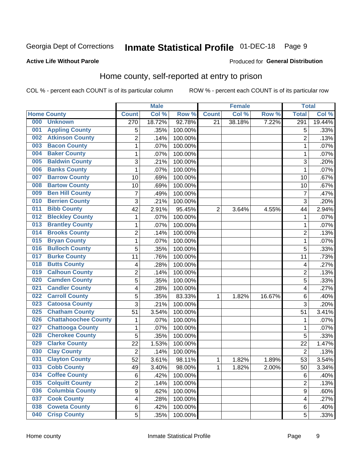#### Inmate Statistical Profile 01-DEC-18 Page 9

### **Active Life Without Parole**

### **Produced for General Distribution**

### Home county, self-reported at entry to prison

COL % - percent each COUNT is of its particular column

|     |                             |                         | <b>Male</b> |         |              | <b>Female</b> |        | <b>Total</b>     |        |
|-----|-----------------------------|-------------------------|-------------|---------|--------------|---------------|--------|------------------|--------|
|     | <b>Home County</b>          | <b>Count</b>            | Col %       | Row %   | <b>Count</b> | Col %         | Row %  | <b>Total</b>     | Col %  |
| 000 | <b>Unknown</b>              | $\overline{270}$        | 18.72%      | 92.78%  | 21           | 38.18%        | 7.22%  | $\overline{291}$ | 19.44% |
| 001 | <b>Appling County</b>       | 5                       | .35%        | 100.00% |              |               |        | 5                | .33%   |
| 002 | <b>Atkinson County</b>      | $\overline{2}$          | .14%        | 100.00% |              |               |        | $\overline{2}$   | .13%   |
| 003 | <b>Bacon County</b>         | $\mathbf 1$             | .07%        | 100.00% |              |               |        | 1                | .07%   |
| 004 | <b>Baker County</b>         | $\mathbf{1}$            | .07%        | 100.00% |              |               |        | 1                | .07%   |
| 005 | <b>Baldwin County</b>       | 3                       | .21%        | 100.00% |              |               |        | 3                | .20%   |
| 006 | <b>Banks County</b>         | $\mathbf{1}$            | .07%        | 100.00% |              |               |        | 1                | .07%   |
| 007 | <b>Barrow County</b>        | 10                      | .69%        | 100.00% |              |               |        | 10               | .67%   |
| 008 | <b>Bartow County</b>        | 10                      | .69%        | 100.00% |              |               |        | 10               | .67%   |
| 009 | <b>Ben Hill County</b>      | $\overline{7}$          | .49%        | 100.00% |              |               |        | 7                | .47%   |
| 010 | <b>Berrien County</b>       | 3                       | .21%        | 100.00% |              |               |        | 3                | .20%   |
| 011 | <b>Bibb County</b>          | 42                      | 2.91%       | 95.45%  | 2            | 3.64%         | 4.55%  | 44               | 2.94%  |
| 012 | <b>Bleckley County</b>      | $\mathbf{1}$            | .07%        | 100.00% |              |               |        | 1                | .07%   |
| 013 | <b>Brantley County</b>      | $\mathbf 1$             | .07%        | 100.00% |              |               |        | 1                | .07%   |
| 014 | <b>Brooks County</b>        | $\overline{2}$          | .14%        | 100.00% |              |               |        | $\overline{2}$   | .13%   |
| 015 | <b>Bryan County</b>         | $\mathbf{1}$            | .07%        | 100.00% |              |               |        | 1                | .07%   |
| 016 | <b>Bulloch County</b>       | 5                       | .35%        | 100.00% |              |               |        | 5                | .33%   |
| 017 | <b>Burke County</b>         | 11                      | .76%        | 100.00% |              |               |        | 11               | .73%   |
| 018 | <b>Butts County</b>         | 4                       | .28%        | 100.00% |              |               |        | 4                | .27%   |
| 019 | <b>Calhoun County</b>       | $\overline{2}$          | .14%        | 100.00% |              |               |        | $\overline{2}$   | .13%   |
| 020 | <b>Camden County</b>        | 5                       | .35%        | 100.00% |              |               |        | 5                | .33%   |
| 021 | <b>Candler County</b>       | 4                       | .28%        | 100.00% |              |               |        | 4                | .27%   |
| 022 | <b>Carroll County</b>       | 5                       | .35%        | 83.33%  | 1            | 1.82%         | 16.67% | 6                | .40%   |
| 023 | <b>Catoosa County</b>       | 3                       | .21%        | 100.00% |              |               |        | $\overline{3}$   | .20%   |
| 025 | <b>Chatham County</b>       | 51                      | 3.54%       | 100.00% |              |               |        | 51               | 3.41%  |
| 026 | <b>Chattahoochee County</b> | $\mathbf 1$             | .07%        | 100.00% |              |               |        | 1                | .07%   |
| 027 | <b>Chattooga County</b>     | $\mathbf 1$             | .07%        | 100.00% |              |               |        | 1                | .07%   |
| 028 | <b>Cherokee County</b>      | 5                       | .35%        | 100.00% |              |               |        | 5                | .33%   |
| 029 | <b>Clarke County</b>        | 22                      | 1.53%       | 100.00% |              |               |        | 22               | 1.47%  |
| 030 | <b>Clay County</b>          | $\overline{2}$          | .14%        | 100.00% |              |               |        | $\overline{2}$   | .13%   |
| 031 | <b>Clayton County</b>       | 52                      | 3.61%       | 98.11%  | 1            | 1.82%         | 1.89%  | 53               | 3.54%  |
| 033 | <b>Cobb County</b>          | 49                      | 3.40%       | 98.00%  | 1            | 1.82%         | 2.00%  | 50               | 3.34%  |
| 034 | <b>Coffee County</b>        | 6                       | .42%        | 100.00% |              |               |        | 6                | .40%   |
| 035 | <b>Colquitt County</b>      | $\overline{2}$          | .14%        | 100.00% |              |               |        | $\overline{2}$   | .13%   |
| 036 | <b>Columbia County</b>      | $\overline{9}$          | .62%        | 100.00% |              |               |        | 9                | .60%   |
| 037 | <b>Cook County</b>          | $\overline{\mathbf{4}}$ | .28%        | 100.00% |              |               |        | 4                | .27%   |
| 038 | <b>Coweta County</b>        | 6                       | .42%        | 100.00% |              |               |        | 6                | .40%   |
| 040 | <b>Crisp County</b>         | 5                       | .35%        | 100.00% |              |               |        | 5                | .33%   |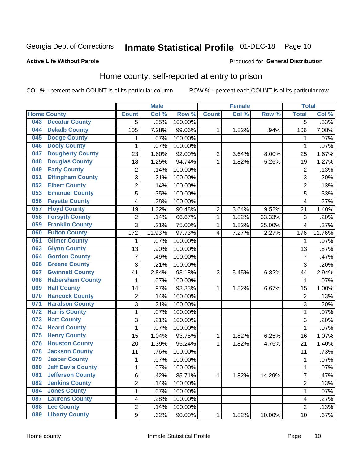# Inmate Statistical Profile 01-DEC-18 Page 10

### **Active Life Without Parole**

#### Produced for General Distribution

### Home county, self-reported at entry to prison

COL % - percent each COUNT is of its particular column

|     |                          |                | <b>Male</b> |         |                | <b>Female</b> |        | <b>Total</b>   |        |
|-----|--------------------------|----------------|-------------|---------|----------------|---------------|--------|----------------|--------|
|     | <b>Home County</b>       | <b>Count</b>   | Col %       | Row %   | <b>Count</b>   | Col %         | Row %  | <b>Total</b>   | Col %  |
| 043 | <b>Decatur County</b>    | $\overline{5}$ | .35%        | 100.00% |                |               |        | $\overline{5}$ | .33%   |
| 044 | <b>Dekalb County</b>     | 105            | 7.28%       | 99.06%  | 1              | 1.82%         | .94%   | 106            | 7.08%  |
| 045 | <b>Dodge County</b>      | 1              | .07%        | 100.00% |                |               |        | 1              | .07%   |
| 046 | <b>Dooly County</b>      | 1              | .07%        | 100.00% |                |               |        | 1              | .07%   |
| 047 | <b>Dougherty County</b>  | 23             | 1.60%       | 92.00%  | $\overline{2}$ | 3.64%         | 8.00%  | 25             | 1.67%  |
| 048 | <b>Douglas County</b>    | 18             | 1.25%       | 94.74%  | 1              | 1.82%         | 5.26%  | 19             | 1.27%  |
| 049 | <b>Early County</b>      | $\overline{2}$ | .14%        | 100.00% |                |               |        | $\overline{2}$ | .13%   |
| 051 | <b>Effingham County</b>  | 3              | .21%        | 100.00% |                |               |        | 3              | .20%   |
| 052 | <b>Elbert County</b>     | $\overline{2}$ | .14%        | 100.00% |                |               |        | $\overline{2}$ | .13%   |
| 053 | <b>Emanuel County</b>    | 5              | .35%        | 100.00% |                |               |        | 5              | .33%   |
| 056 | <b>Fayette County</b>    | 4              | .28%        | 100.00% |                |               |        | $\overline{4}$ | .27%   |
| 057 | <b>Floyd County</b>      | 19             | 1.32%       | 90.48%  | $\overline{2}$ | 3.64%         | 9.52%  | 21             | 1.40%  |
| 058 | <b>Forsyth County</b>    | $\overline{2}$ | .14%        | 66.67%  | 1              | 1.82%         | 33.33% | 3              | .20%   |
| 059 | <b>Franklin County</b>   | 3              | .21%        | 75.00%  | $\mathbf 1$    | 1.82%         | 25.00% | $\overline{4}$ | .27%   |
| 060 | <b>Fulton County</b>     | 172            | 11.93%      | 97.73%  | 4              | 7.27%         | 2.27%  | 176            | 11.76% |
| 061 | <b>Gilmer County</b>     | 1              | .07%        | 100.00% |                |               |        | 1              | .07%   |
| 063 | <b>Glynn County</b>      | 13             | .90%        | 100.00% |                |               |        | 13             | .87%   |
| 064 | <b>Gordon County</b>     | $\overline{7}$ | .49%        | 100.00% |                |               |        | $\overline{7}$ | .47%   |
| 066 | <b>Greene County</b>     | 3              | .21%        | 100.00% |                |               |        | 3              | .20%   |
| 067 | <b>Gwinnett County</b>   | 41             | 2.84%       | 93.18%  | 3              | 5.45%         | 6.82%  | 44             | 2.94%  |
| 068 | <b>Habersham County</b>  | $\mathbf{1}$   | .07%        | 100.00% |                |               |        | $\mathbf 1$    | .07%   |
| 069 | <b>Hall County</b>       | 14             | .97%        | 93.33%  | 1              | 1.82%         | 6.67%  | 15             | 1.00%  |
| 070 | <b>Hancock County</b>    | $\mathbf 2$    | .14%        | 100.00% |                |               |        | $\overline{2}$ | .13%   |
| 071 | <b>Haralson County</b>   | 3              | .21%        | 100.00% |                |               |        | 3              | .20%   |
| 072 | <b>Harris County</b>     | $\mathbf 1$    | .07%        | 100.00% |                |               |        | 1              | .07%   |
| 073 | <b>Hart County</b>       | 3              | .21%        | 100.00% |                |               |        | 3              | .20%   |
| 074 | <b>Heard County</b>      | $\mathbf{1}$   | .07%        | 100.00% |                |               |        | 1              | .07%   |
| 075 | <b>Henry County</b>      | 15             | 1.04%       | 93.75%  | 1              | 1.82%         | 6.25%  | 16             | 1.07%  |
| 076 | <b>Houston County</b>    | 20             | 1.39%       | 95.24%  | 1              | 1.82%         | 4.76%  | 21             | 1.40%  |
| 078 | <b>Jackson County</b>    | 11             | .76%        | 100.00% |                |               |        | 11             | .73%   |
| 079 | <b>Jasper County</b>     | 1              | .07%        | 100.00% |                |               |        | 1              | .07%   |
| 080 | <b>Jeff Davis County</b> | $\mathbf 1$    | .07%        | 100.00% |                |               |        | 1              | .07%   |
| 081 | <b>Jefferson County</b>  | 6              | .42%        | 85.71%  | 1              | 1.82%         | 14.29% | 7              | .47%   |
| 082 | <b>Jenkins County</b>    | $\overline{c}$ | .14%        | 100.00% |                |               |        | $\overline{2}$ | .13%   |
| 084 | <b>Jones County</b>      | $\mathbf{1}$   | .07%        | 100.00% |                |               |        | 1              | .07%   |
| 087 | <b>Laurens County</b>    | 4              | .28%        | 100.00% |                |               |        | 4              | .27%   |
| 088 | <b>Lee County</b>        | $\overline{c}$ | .14%        | 100.00% |                |               |        | $\overline{2}$ | .13%   |
| 089 | <b>Liberty County</b>    | 9              | .62%        | 90.00%  | 1              | 1.82%         | 10.00% | 10             | .67%   |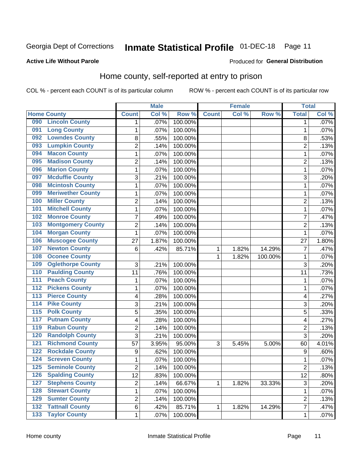# Inmate Statistical Profile 01-DEC-18 Page 11

### **Active Life Without Parole**

#### Produced for General Distribution

### Home county, self-reported at entry to prison

COL % - percent each COUNT is of its particular column

|                  |                          |                | <b>Male</b> |         |              | <b>Female</b> |         | <b>Total</b>   |       |
|------------------|--------------------------|----------------|-------------|---------|--------------|---------------|---------|----------------|-------|
|                  | <b>Home County</b>       | <b>Count</b>   | Col %       | Row %   | <b>Count</b> | Col%          | Row %   | <b>Total</b>   | Col % |
| 090              | <b>Lincoln County</b>    | 1              | .07%        | 100.00% |              |               |         | 1              | .07%  |
| 091              | <b>Long County</b>       | 1              | .07%        | 100.00% |              |               |         | 1              | .07%  |
| 092              | <b>Lowndes County</b>    | 8              | .55%        | 100.00% |              |               |         | 8              | .53%  |
| 093              | <b>Lumpkin County</b>    | $\overline{2}$ | .14%        | 100.00% |              |               |         | $\overline{2}$ | .13%  |
| 094              | <b>Macon County</b>      | $\mathbf 1$    | .07%        | 100.00% |              |               |         | 1              | .07%  |
| 095              | <b>Madison County</b>    | $\overline{2}$ | .14%        | 100.00% |              |               |         | $\overline{2}$ | .13%  |
| 096              | <b>Marion County</b>     | $\mathbf 1$    | .07%        | 100.00% |              |               |         | 1              | .07%  |
| 097              | <b>Mcduffie County</b>   | 3              | .21%        | 100.00% |              |               |         | 3              | .20%  |
| 098              | <b>Mcintosh County</b>   | $\mathbf 1$    | .07%        | 100.00% |              |               |         | 1              | .07%  |
| 099              | <b>Meriwether County</b> | $\mathbf 1$    | .07%        | 100.00% |              |               |         | 1              | .07%  |
| 100              | <b>Miller County</b>     | $\overline{c}$ | .14%        | 100.00% |              |               |         | 2              | .13%  |
| 101              | <b>Mitchell County</b>   | 1              | .07%        | 100.00% |              |               |         | 1              | .07%  |
| 102              | <b>Monroe County</b>     | 7              | .49%        | 100.00% |              |               |         | 7              | .47%  |
| 103              | <b>Montgomery County</b> | $\overline{c}$ | .14%        | 100.00% |              |               |         | $\overline{2}$ | .13%  |
| 104              | <b>Morgan County</b>     | $\mathbf{1}$   | .07%        | 100.00% |              |               |         | 1              | .07%  |
| 106              | <b>Muscogee County</b>   | 27             | 1.87%       | 100.00% |              |               |         | 27             | 1.80% |
| 107              | <b>Newton County</b>     | 6              | .42%        | 85.71%  | 1            | 1.82%         | 14.29%  | 7              | .47%  |
| 108              | <b>Oconee County</b>     |                |             |         | 1            | 1.82%         | 100.00% | 1              | .07%  |
| 109              | <b>Oglethorpe County</b> | 3              | .21%        | 100.00% |              |               |         | 3              | .20%  |
| 110              | <b>Paulding County</b>   | 11             | .76%        | 100.00% |              |               |         | 11             | .73%  |
| 111              | <b>Peach County</b>      | $\mathbf 1$    | .07%        | 100.00% |              |               |         | 1              | .07%  |
| $\overline{112}$ | <b>Pickens County</b>    | $\mathbf 1$    | .07%        | 100.00% |              |               |         | 1              | .07%  |
| 113              | <b>Pierce County</b>     | 4              | .28%        | 100.00% |              |               |         | 4              | .27%  |
| 114              | <b>Pike County</b>       | 3              | .21%        | 100.00% |              |               |         | 3              | .20%  |
| $\overline{115}$ | <b>Polk County</b>       | 5              | .35%        | 100.00% |              |               |         | 5              | .33%  |
| 117              | <b>Putnam County</b>     | 4              | .28%        | 100.00% |              |               |         | 4              | .27%  |
| 119              | <b>Rabun County</b>      | $\overline{2}$ | .14%        | 100.00% |              |               |         | $\overline{2}$ | .13%  |
| 120              | <b>Randolph County</b>   | 3              | .21%        | 100.00% |              |               |         | 3              | .20%  |
| 121              | <b>Richmond County</b>   | 57             | 3.95%       | 95.00%  | 3            | 5.45%         | 5.00%   | 60             | 4.01% |
| 122              | <b>Rockdale County</b>   | 9              | .62%        | 100.00% |              |               |         | 9              | .60%  |
| 124              | <b>Screven County</b>    | $\mathbf 1$    | .07%        | 100.00% |              |               |         | 1              | .07%  |
| 125              | <b>Seminole County</b>   | 2              | .14%        | 100.00% |              |               |         | $\overline{c}$ | .13%  |
| 126              | <b>Spalding County</b>   | 12             | .83%        | 100.00% |              |               |         | 12             | .80%  |
| 127              | <b>Stephens County</b>   | $\overline{c}$ | .14%        | 66.67%  | 1            | 1.82%         | 33.33%  | $\mathfrak{B}$ | .20%  |
| 128              | <b>Stewart County</b>    | $\mathbf{1}$   | .07%        | 100.00% |              |               |         | 1              | .07%  |
| 129              | <b>Sumter County</b>     | $\overline{c}$ | .14%        | 100.00% |              |               |         | 2              | .13%  |
| $\overline{132}$ | <b>Tattnall County</b>   | 6              | .42%        | 85.71%  | 1            | 1.82%         | 14.29%  | 7              | .47%  |
| $\overline{133}$ | <b>Taylor County</b>     | 1              | .07%        | 100.00% |              |               |         | 1              | .07%  |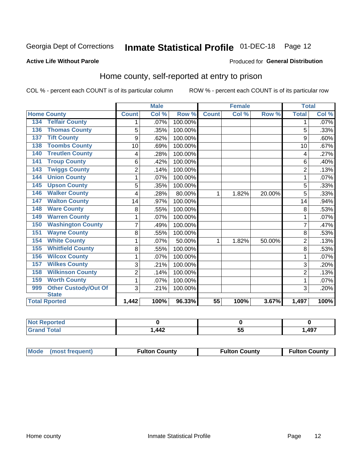## Inmate Statistical Profile 01-DEC-18 Page 12

### **Active Life Without Parole**

#### Produced for General Distribution

### Home county, self-reported at entry to prison

COL % - percent each COUNT is of its particular column

|                                    |                | <b>Male</b> |         |                 | <b>Female</b> |        | <b>Total</b>   |         |
|------------------------------------|----------------|-------------|---------|-----------------|---------------|--------|----------------|---------|
| <b>Home County</b>                 | <b>Count</b>   | Col %       | Row %   | <b>Count</b>    | Col %         | Row %  | <b>Total</b>   | Col %   |
| <b>Telfair County</b><br>134       | 1              | .07%        | 100.00% |                 |               |        | 1              | $.07\%$ |
| <b>Thomas County</b><br>136        | 5              | .35%        | 100.00% |                 |               |        | 5              | .33%    |
| <b>Tift County</b><br>137          | 9              | .62%        | 100.00% |                 |               |        | 9              | .60%    |
| <b>Toombs County</b><br>138        | 10             | .69%        | 100.00% |                 |               |        | 10             | .67%    |
| <b>Treutlen County</b><br>140      | 4              | .28%        | 100.00% |                 |               |        | 4              | .27%    |
| <b>Troup County</b><br>141         | 6              | .42%        | 100.00% |                 |               |        | 6              | .40%    |
| <b>Twiggs County</b><br>143        | $\overline{2}$ | .14%        | 100.00% |                 |               |        | $\overline{2}$ | .13%    |
| <b>Union County</b><br>144         | 1              | .07%        | 100.00% |                 |               |        | 1              | .07%    |
| <b>Upson County</b><br>145         | 5              | .35%        | 100.00% |                 |               |        | 5              | .33%    |
| <b>Walker County</b><br>146        | 4              | .28%        | 80.00%  | 1               | 1.82%         | 20.00% | 5              | .33%    |
| <b>Walton County</b><br>147        | 14             | .97%        | 100.00% |                 |               |        | 14             | .94%    |
| <b>Ware County</b><br>148          | 8              | .55%        | 100.00% |                 |               |        | 8              | .53%    |
| <b>Warren County</b><br>149        | 1              | .07%        | 100.00% |                 |               |        |                | .07%    |
| <b>Washington County</b><br>150    | $\overline{7}$ | .49%        | 100.00% |                 |               |        | 7              | .47%    |
| <b>Wayne County</b><br>151         | 8              | .55%        | 100.00% |                 |               |        | 8              | .53%    |
| <b>White County</b><br>154         | 1              | .07%        | 50.00%  | 1               | 1.82%         | 50.00% | $\overline{2}$ | .13%    |
| <b>Whitfield County</b><br>155     | 8              | .55%        | 100.00% |                 |               |        | 8              | .53%    |
| <b>Wilcox County</b><br>156        | 1              | .07%        | 100.00% |                 |               |        | 1              | .07%    |
| <b>Wilkes County</b><br>157        | 3              | .21%        | 100.00% |                 |               |        | 3              | .20%    |
| <b>Wilkinson County</b><br>158     | $\overline{2}$ | .14%        | 100.00% |                 |               |        | $\overline{c}$ | .13%    |
| <b>Worth County</b><br>159         | 1              | .07%        | 100.00% |                 |               |        |                | .07%    |
| <b>Other Custody/Out Of</b><br>999 | 3              | .21%        | 100.00% |                 |               |        | 3              | .20%    |
| <b>State</b>                       |                |             |         |                 |               |        |                |         |
| <b>Total Rported</b>               | 1,442          | 100%        | 96.33%  | $\overline{55}$ | 100%          | 3.67%  | 1,497          | 100%    |

| oorted<br>NI. |       |           |       |
|---------------|-------|-----------|-------|
| <b>otal</b>   | 1,442 | $-$<br>uu | 1,497 |

| Mode (most frequent)<br><b>Fulton County</b> | <b>Fulton County</b> | <b>Fulton County</b> |
|----------------------------------------------|----------------------|----------------------|
|----------------------------------------------|----------------------|----------------------|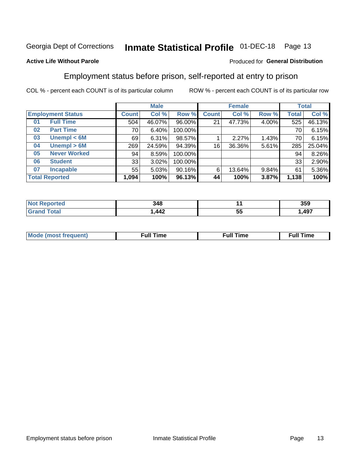#### **Inmate Statistical Profile 01-DEC-18** Page 13

#### **Active Life Without Parole**

### Produced for General Distribution

### Employment status before prison, self-reported at entry to prison

COL % - percent each COUNT is of its particular column

|                           |         | <b>Male</b> |         |              | <b>Female</b> |       |       | <b>Total</b> |
|---------------------------|---------|-------------|---------|--------------|---------------|-------|-------|--------------|
| <b>Employment Status</b>  | Count l | Col %       | Row %   | <b>Count</b> | Col %         | Row % | Total | Col %        |
| <b>Full Time</b><br>01    | 504     | 46.07%      | 96.00%  | 21           | 47.73%        | 4.00% | 525   | 46.13%       |
| <b>Part Time</b><br>02    | 70      | 6.40%       | 100.00% |              |               |       | 70    | 6.15%        |
| Unempl $<$ 6M<br>03       | 69      | 6.31%       | 98.57%  |              | 2.27%         | 1.43% | 70    | 6.15%        |
| Unempl > 6M<br>04         | 269     | 24.59%      | 94.39%  | 16           | 36.36%        | 5.61% | 285   | 25.04%       |
| <b>Never Worked</b><br>05 | 94      | 8.59%       | 100.00% |              |               |       | 94    | 8.26%        |
| <b>Student</b><br>06      | 33      | 3.02%       | 100.00% |              |               |       | 33    | 2.90%        |
| <b>Incapable</b><br>07    | 55      | 5.03%       | 90.16%  | 6            | 13.64%        | 9.84% | 61    | 5.36%        |
| <b>Total Reported</b>     | 1,094   | 100%        | 96.13%  | 44           | 100%          | 3.87% | 1,138 | 100%         |

| 348  |          | 359 |
|------|----------|-----|
| ,442 | --<br>JJ | AQ7 |

| Mc | ∴ull | ----<br>ıme<br>w |
|----|------|------------------|
|    |      |                  |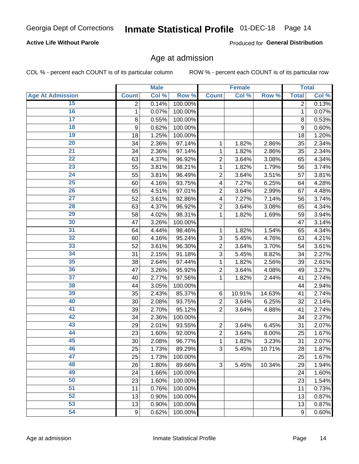### **Active Life Without Parole**

Produced for General Distribution

### Age at admission

COL % - percent each COUNT is of its particular column

|                         |                | <b>Male</b> |         |                         | <b>Female</b> |        |                | <b>Total</b> |
|-------------------------|----------------|-------------|---------|-------------------------|---------------|--------|----------------|--------------|
| <b>Age At Admission</b> | <b>Count</b>   | Col %       | Row %   | <b>Count</b>            | Col %         | Row %  | <b>Total</b>   | Col %        |
| 15                      | $\overline{2}$ | 0.14%       | 100.00% |                         |               |        | $\overline{2}$ | 0.13%        |
| 16                      | 1              | 0.07%       | 100.00% |                         |               |        | $\mathbf{1}$   | 0.07%        |
| $\overline{17}$         | 8              | 0.55%       | 100.00% |                         |               |        | 8              | 0.53%        |
| 18                      | 9              | 0.62%       | 100.00% |                         |               |        | 9              | 0.60%        |
| 19                      | 18             | 1.25%       | 100.00% |                         |               |        | 18             | 1.20%        |
| $\overline{20}$         | 34             | 2.36%       | 97.14%  | 1                       | 1.82%         | 2.86%  | 35             | 2.34%        |
| 21                      | 34             | 2.36%       | 97.14%  | 1                       | 1.82%         | 2.86%  | 35             | 2.34%        |
| 22                      | 63             | 4.37%       | 96.92%  | $\overline{c}$          | 3.64%         | 3.08%  | 65             | 4.34%        |
| 23                      | 55             | 3.81%       | 98.21%  | 1                       | 1.82%         | 1.79%  | 56             | 3.74%        |
| 24                      | 55             | 3.81%       | 96.49%  | $\overline{2}$          | 3.64%         | 3.51%  | 57             | 3.81%        |
| $\overline{25}$         | 60             | 4.16%       | 93.75%  | $\overline{\mathbf{4}}$ | 7.27%         | 6.25%  | 64             | 4.28%        |
| 26                      | 65             | 4.51%       | 97.01%  | $\overline{2}$          | 3.64%         | 2.99%  | 67             | 4.48%        |
| $\overline{27}$         | 52             | 3.61%       | 92.86%  | 4                       | 7.27%         | 7.14%  | 56             | 3.74%        |
| 28                      | 63             | 4.37%       | 96.92%  | $\overline{2}$          | 3.64%         | 3.08%  | 65             | 4.34%        |
| 29                      | 58             | 4.02%       | 98.31%  | 1                       | 1.82%         | 1.69%  | 59             | 3.94%        |
| 30                      | 47             | 3.26%       | 100.00% |                         |               |        | 47             | 3.14%        |
| 31                      | 64             | 4.44%       | 98.46%  | 1                       | 1.82%         | 1.54%  | 65             | 4.34%        |
| 32                      | 60             | 4.16%       | 95.24%  | 3                       | 5.45%         | 4.76%  | 63             | 4.21%        |
| 33                      | 52             | 3.61%       | 96.30%  | $\overline{2}$          | 3.64%         | 3.70%  | 54             | 3.61%        |
| 34                      | 31             | 2.15%       | 91.18%  | 3                       | 5.45%         | 8.82%  | 34             | 2.27%        |
| 35                      | 38             | 2.64%       | 97.44%  | 1                       | 1.82%         | 2.56%  | 39             | 2.61%        |
| 36                      | 47             | 3.26%       | 95.92%  | $\overline{c}$          | 3.64%         | 4.08%  | 49             | 3.27%        |
| $\overline{37}$         | 40             | 2.77%       | 97.56%  | 1                       | 1.82%         | 2.44%  | 41             | 2.74%        |
| 38                      | 44             | 3.05%       | 100.00% |                         |               |        | 44             | 2.94%        |
| 39                      | 35             | 2.43%       | 85.37%  | 6                       | 10.91%        | 14.63% | 41             | 2.74%        |
| 40                      | 30             | 2.08%       | 93.75%  | $\overline{c}$          | 3.64%         | 6.25%  | 32             | 2.14%        |
| 41                      | 39             | 2.70%       | 95.12%  | $\overline{2}$          | 3.64%         | 4.88%  | 41             | 2.74%        |
| 42                      | 34             | 2.36%       | 100.00% |                         |               |        | 34             | 2.27%        |
| 43                      | 29             | 2.01%       | 93.55%  | $\overline{2}$          | 3.64%         | 6.45%  | 31             | 2.07%        |
| 44                      | 23             | 1.60%       | 92.00%  | $\overline{c}$          | 3.64%         | 8.00%  | 25             | 1.67%        |
| 45                      | 30             | 2.08%       | 96.77%  | 1                       | 1.82%         | 3.23%  | 31             | 2.07%        |
| 46                      | 25             | 1.73%       | 89.29%  | 3                       | 5.45%         | 10.71% | 28             | 1.87%        |
| 47                      | 25             | 1.73%       | 100.00% |                         |               |        | 25             | 1.67%        |
| 48                      | 26             | 1.80%       | 89.66%  | 3                       | 5.45%         | 10.34% | 29             | 1.94%        |
| 49                      | 24             | 1.66%       | 100.00% |                         |               |        | 24             | 1.60%        |
| 50                      | 23             | 1.60%       | 100.00% |                         |               |        | 23             | 1.54%        |
| $\overline{51}$         | 11             | 0.76%       | 100.00% |                         |               |        | 11             | 0.73%        |
| 52                      | 13             | 0.90%       | 100.00% |                         |               |        | 13             | 0.87%        |
| 53                      | 13             | 0.90%       | 100.00% |                         |               |        | 13             | 0.87%        |
| 54                      | $9\,$          | 0.62%       | 100.00% |                         |               |        | 9              | 0.60%        |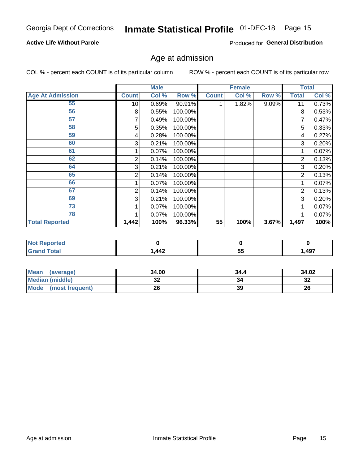### **Active Life Without Parole**

Produced for General Distribution

## Age at admission

COL % - percent each COUNT is of its particular column

|                         |                | <b>Male</b> |         |              | <b>Female</b> |       |              | <b>Total</b> |
|-------------------------|----------------|-------------|---------|--------------|---------------|-------|--------------|--------------|
| <b>Age At Admission</b> | <b>Count</b>   | Col %       | Row %   | <b>Count</b> | Col %         | Row % | <b>Total</b> | Col %        |
| 55                      | 10             | 0.69%       | 90.91%  |              | 1.82%         | 9.09% | 11           | 0.73%        |
| 56                      | 8              | 0.55%       | 100.00% |              |               |       | 8            | 0.53%        |
| 57                      | 7              | 0.49%       | 100.00% |              |               |       | 7            | 0.47%        |
| 58                      | 5              | 0.35%       | 100.00% |              |               |       | 5            | 0.33%        |
| 59                      | 4              | 0.28%       | 100.00% |              |               |       | 4            | 0.27%        |
| 60                      | 3              | 0.21%       | 100.00% |              |               |       | 3            | 0.20%        |
| 61                      |                | $0.07\%$    | 100.00% |              |               |       |              | 0.07%        |
| 62                      | 2              | 0.14%       | 100.00% |              |               |       | 2            | 0.13%        |
| 64                      | 3              | 0.21%       | 100.00% |              |               |       | 3            | 0.20%        |
| 65                      | 2              | 0.14%       | 100.00% |              |               |       | 2            | 0.13%        |
| 66                      |                | 0.07%       | 100.00% |              |               |       |              | 0.07%        |
| 67                      | $\overline{2}$ | 0.14%       | 100.00% |              |               |       | 2            | 0.13%        |
| 69                      | 3              | 0.21%       | 100.00% |              |               |       | 3            | 0.20%        |
| 73                      |                | 0.07%       | 100.00% |              |               |       |              | 0.07%        |
| 78                      |                | 0.07%       | 100.00% |              |               |       |              | 0.07%        |
| <b>Total Reported</b>   | 1,442          | 100%        | 96.33%  | 55           | 100%          | 3.67% | 1,497        | 100%         |

| <b>Reported</b><br><b>NOT</b> |     |          |      |
|-------------------------------|-----|----------|------|
| <b>otal</b>                   | 442 | 55<br>uu | ,497 |

| <b>Mean</b><br>(average) | 34.00   | 34.4 | 34.02   |
|--------------------------|---------|------|---------|
| <b>Median (middle)</b>   | ົ<br>JZ | 34   | ົ<br>∠ت |
| Mode<br>(most frequent)  | 26      | 39   | 26      |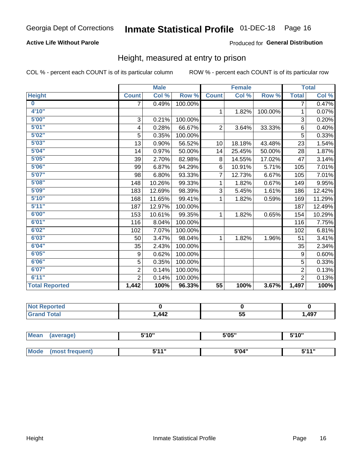### **Active Life Without Parole**

### Produced for General Distribution

### Height, measured at entry to prison

COL % - percent each COUNT is of its particular column

|                       |                           | <b>Male</b> |         |                | <b>Female</b> |         |                | <b>Total</b> |
|-----------------------|---------------------------|-------------|---------|----------------|---------------|---------|----------------|--------------|
| <b>Height</b>         | <b>Count</b>              | Col %       | Row %   | <b>Count</b>   | Col %         | Row %   | <b>Total</b>   | Col %        |
| $\bf{0}$              | $\overline{7}$            | 0.49%       | 100.00% |                |               |         | 7              | 0.47%        |
| 4'10''                |                           |             |         | $\mathbf{1}$   | 1.82%         | 100.00% | 1              | 0.07%        |
| 5'00''                | $\ensuremath{\mathsf{3}}$ | 0.21%       | 100.00% |                |               |         | 3              | 0.20%        |
| 5'01"                 | 4                         | 0.28%       | 66.67%  | $\overline{2}$ | 3.64%         | 33.33%  | 6              | 0.40%        |
| 5'02"                 | 5                         | 0.35%       | 100.00% |                |               |         | 5              | 0.33%        |
| 5'03''                | 13                        | 0.90%       | 56.52%  | 10             | 18.18%        | 43.48%  | 23             | 1.54%        |
| 5'04"                 | 14                        | 0.97%       | 50.00%  | 14             | 25.45%        | 50.00%  | 28             | 1.87%        |
| 5'05"                 | 39                        | 2.70%       | 82.98%  | 8              | 14.55%        | 17.02%  | 47             | 3.14%        |
| 5'06''                | 99                        | 6.87%       | 94.29%  | 6              | 10.91%        | 5.71%   | 105            | 7.01%        |
| 5'07"                 | 98                        | 6.80%       | 93.33%  | 7              | 12.73%        | 6.67%   | 105            | 7.01%        |
| 5'08''                | 148                       | 10.26%      | 99.33%  | 1              | 1.82%         | 0.67%   | 149            | 9.95%        |
| 5'09''                | 183                       | 12.69%      | 98.39%  | 3              | 5.45%         | 1.61%   | 186            | 12.42%       |
| 5'10''                | 168                       | 11.65%      | 99.41%  | 1              | 1.82%         | 0.59%   | 169            | 11.29%       |
| 5'11"                 | 187                       | 12.97%      | 100.00% |                |               |         | 187            | 12.49%       |
| 6'00''                | 153                       | 10.61%      | 99.35%  | 1.             | 1.82%         | 0.65%   | 154            | 10.29%       |
| 6'01''                | 116                       | 8.04%       | 100.00% |                |               |         | 116            | 7.75%        |
| 6'02"                 | 102                       | 7.07%       | 100.00% |                |               |         | 102            | 6.81%        |
| 6'03''                | 50                        | 3.47%       | 98.04%  | $\mathbf{1}$   | 1.82%         | 1.96%   | 51             | 3.41%        |
| 6'04"                 | 35                        | 2.43%       | 100.00% |                |               |         | 35             | 2.34%        |
| 6'05"                 | 9                         | 0.62%       | 100.00% |                |               |         | 9              | 0.60%        |
| 6'06''                | 5                         | 0.35%       | 100.00% |                |               |         | 5              | 0.33%        |
| 6'07''                | $\overline{2}$            | 0.14%       | 100.00% |                |               |         | $\overline{2}$ | 0.13%        |
| 6'11''                | $\overline{2}$            | 0.14%       | 100.00% |                |               |         | $\overline{2}$ | 0.13%        |
| <b>Total Reported</b> | 1,442                     | 100%        | 96.33%  | 55             | 100%          | 3.67%   | 1,497          | 100%         |

| ortea<br>. |     |    |       |
|------------|-----|----|-------|
| _____      | 442 | -- | 1.497 |
|            | ┭┭∠ | v. | − ∪ 1 |

| <b>Mean</b> | (average)       | 5'10" | 5'05" | 5'10" |  |
|-------------|-----------------|-------|-------|-------|--|
|             |                 |       |       |       |  |
| <b>Mode</b> | (most frequent) | 544"  | 5'04" | 544 T |  |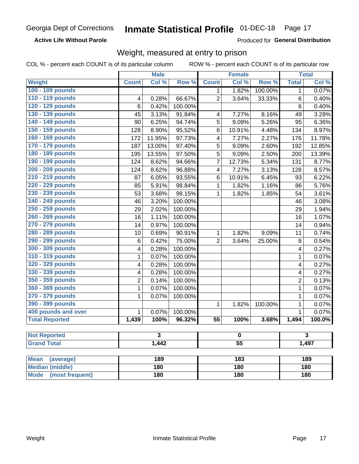**Active Life Without Parole** 

Produced for General Distribution

### Weight, measured at entry to prison

COL % - percent each COUNT is of its particular column

|                                |                | <b>Male</b> |                 |                 | <b>Female</b> |         |                | <b>Total</b> |  |  |
|--------------------------------|----------------|-------------|-----------------|-----------------|---------------|---------|----------------|--------------|--|--|
| <b>Weight</b>                  | <b>Count</b>   | Col %       | Row %           | <b>Count</b>    | Col %         | Row %   | <b>Total</b>   | Col %        |  |  |
| 100 - 109 pounds               |                |             |                 | 1               | 1.82%         | 100.00% | 1              | 0.07%        |  |  |
| 110 - 119 pounds               | 4              | 0.28%       | 66.67%          | $\overline{2}$  | 3.64%         | 33.33%  | 6              | 0.40%        |  |  |
| 120 - 129 pounds               | 6              | 0.42%       | 100.00%         |                 |               |         | 6              | 0.40%        |  |  |
| 130 - 139 pounds               | 45             | 3.13%       | 91.84%          | 4               | 7.27%         | 8.16%   | 49             | 3.28%        |  |  |
| 140 - 149 pounds               | 90             | 6.25%       | 94.74%          | 5               | 9.09%         | 5.26%   | 95             | 6.36%        |  |  |
| 150 - 159 pounds               | 128            | 8.90%       | 95.52%          | 6               | 10.91%        | 4.48%   | 134            | 8.97%        |  |  |
| 160 - 169 pounds               | 172            | 11.95%      | 97.73%          | 4               | 7.27%         | 2.27%   | 176            | 11.78%       |  |  |
| 170 - 179 pounds               | 187            | 13.00%      | 97.40%          | 5               | 9.09%         | 2.60%   | 192            | 12.85%       |  |  |
| 180 - 189 pounds               | 195            | 13.55%      | 97.50%          | 5               | 9.09%         | 2.50%   | 200            | 13.39%       |  |  |
| 190 - 199 pounds               | 124            | 8.62%       | 94.66%          | 7               | 12.73%        | 5.34%   | 131            | 8.77%        |  |  |
| 200 - 209 pounds               | 124            | 8.62%       | 96.88%          | 4               | 7.27%         | 3.13%   | 128            | 8.57%        |  |  |
| 210 - 219 pounds               | 87             | 6.05%       | 93.55%          | 6               | 10.91%        | 6.45%   | 93             | 6.22%        |  |  |
| 220 - 229 pounds               | 85             | 5.91%       | 98.84%          | 1               | 1.82%         | 1.16%   | 86             | 5.76%        |  |  |
| 230 - 239 pounds               | 53             | 3.68%       | 98.15%          | 1               | 1.82%         | 1.85%   | 54             | 3.61%        |  |  |
| 240 - 249 pounds               | 46             | 3.20%       | 100.00%         |                 |               |         | 46             | 3.08%        |  |  |
| 250 - 259 pounds               | 29             | 2.02%       | 100.00%         |                 |               |         | 29             | 1.94%        |  |  |
| 260 - 269 pounds               | 16             | 1.11%       | 100.00%         |                 |               |         | 16             | 1.07%        |  |  |
| 270 - 279 pounds               | 14             | 0.97%       | 100.00%         |                 |               |         | 14             | 0.94%        |  |  |
| 280 - 289 pounds               | 10             | 0.69%       | 90.91%          | 1               | 1.82%         | 9.09%   | 11             | 0.74%        |  |  |
| 290 - 299 pounds               | 6              | 0.42%       | 75.00%          | $\overline{2}$  | 3.64%         | 25.00%  | 8              | 0.54%        |  |  |
| 300 - 309 pounds               | 4              | 0.28%       | 100.00%         |                 |               |         | 4              | 0.27%        |  |  |
| 310 - 319 pounds               | 1              | 0.07%       | 100.00%         |                 |               |         | $\mathbf{1}$   | 0.07%        |  |  |
| 320 - 329 pounds               | 4              | 0.28%       | 100.00%         |                 |               |         | 4              | 0.27%        |  |  |
| 330 - 339 pounds               | 4              | 0.28%       | 100.00%         |                 |               |         | 4              | 0.27%        |  |  |
| 350 - 359 pounds               | $\overline{2}$ | 0.14%       | 100.00%         |                 |               |         | $\overline{2}$ | 0.13%        |  |  |
| 360 - 369 pounds               | 1              | 0.07%       | 100.00%         |                 |               |         | 1              | 0.07%        |  |  |
| 370 - 379 pounds               | 1              | 0.07%       | 100.00%         |                 |               |         | $\mathbf 1$    | 0.07%        |  |  |
| 390 - 399 pounds               |                |             |                 | 1               | 1.82%         | 100.00% | 1              | 0.07%        |  |  |
| 400 pounds and over            | $\mathbf{1}$   | 0.07%       | 100.00%         |                 |               |         | $\mathbf{1}$   | 0.07%        |  |  |
| <b>Total Reported</b>          | 1,439          | 100%        | 96.32%          | $\overline{55}$ | 100%          | 3.68%   | 1,494          | 100.0%       |  |  |
|                                |                |             |                 |                 |               |         |                |              |  |  |
| <b>Not Reported</b>            |                | 3           |                 | 0               |               |         |                | 3            |  |  |
| <b>Grand Total</b>             | 1,442          |             | $\overline{55}$ |                 |               |         | 1,497          |              |  |  |
|                                |                |             |                 |                 |               |         |                |              |  |  |
| <b>Mean</b><br>(average)       |                | 189         |                 | 183             |               |         |                | 189          |  |  |
| <b>Median (middle)</b>         |                | 180         |                 |                 | 180           |         |                | 180          |  |  |
| <b>Mode</b><br>(most frequent) |                | 180         |                 |                 | 180           |         |                | 180          |  |  |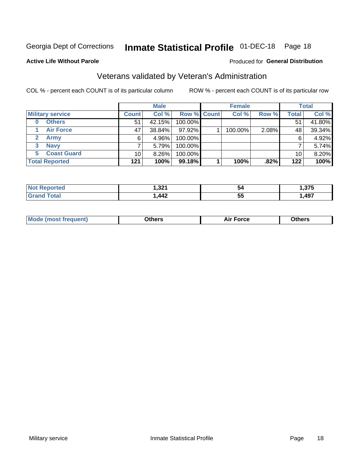## Inmate Statistical Profile 01-DEC-18 Page 18

### **Active Life Without Parole**

#### Produced for General Distribution

### Veterans validated by Veteran's Administration

COL % - percent each COUNT is of its particular column

|                               |              | <b>Male</b> |                    | <b>Female</b> |         |              | <b>Total</b> |
|-------------------------------|--------------|-------------|--------------------|---------------|---------|--------------|--------------|
| <b>Military service</b>       | <b>Count</b> | Col %       | <b>Row % Count</b> | Col %         | Row %   | <b>Total</b> | Col %        |
| <b>Others</b>                 | 51           | 42.15%      | 100.00%            |               |         | 51           | 41.80%       |
| <b>Air Force</b>              | 47           | 38.84%      | 97.92%             | 100.00%       | 2.08%   | 48           | 39.34%       |
| <b>Army</b><br>$\mathbf{2}^-$ | 6            | 4.96%       | 100.00%            |               |         | 6            | 4.92%        |
| <b>Navy</b><br>3              |              | 5.79%       | 100.00%            |               |         |              | 5.74%        |
| <b>Coast Guard</b><br>5.      | 10           | $8.26\%$    | 100.00%            |               |         | 10           | 8.20%        |
| <b>Total Reported</b>         | 121          | 100%        | 99.18%             | 100%          | $.82\%$ | 122          | 100%         |

| 'teo<br>N   | -221<br>ו גכ, י<br>$ -$ | 54         | $\sim$ $\sim$ $\sim$ |
|-------------|-------------------------|------------|----------------------|
| $f$ ata $f$ | AA<br><b>TTA</b>        | --<br>. სა | ,497                 |

| <b>Moo.</b> |
|-------------|
|-------------|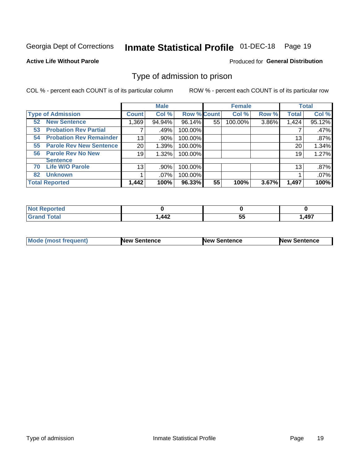# Inmate Statistical Profile 01-DEC-18 Page 19

**Active Life Without Parole** 

Produced for General Distribution

### Type of admission to prison

COL % - percent each COUNT is of its particular column

|                                      |                 | <b>Male</b> |                    |    | <b>Female</b> |       |              | <b>Total</b> |
|--------------------------------------|-----------------|-------------|--------------------|----|---------------|-------|--------------|--------------|
| <b>Type of Admission</b>             | <b>Count</b>    | Col %       | <b>Row % Count</b> |    | Col %         | Row % | <b>Total</b> | Col %        |
| <b>52 New Sentence</b>               | 1,369           | 94.94%      | 96.14%             | 55 | 100.00%       | 3.86% | 1,424        | 95.12%       |
| <b>Probation Rev Partial</b><br>53   | 7               | .49%        | 100.00%            |    |               |       |              | .47%         |
| <b>Probation Rev Remainder</b><br>54 | 13              | .90%        | 100.00%            |    |               |       | 13           | $.87\%$      |
| <b>Parole Rev New Sentence</b><br>55 | 20              | 1.39%       | 100.00%            |    |               |       | 20           | 1.34%        |
| <b>Parole Rev No New</b><br>56       | 19              | 1.32%       | 100.00%            |    |               |       | 19           | 1.27%        |
| <b>Sentence</b>                      |                 |             |                    |    |               |       |              |              |
| <b>Life W/O Parole</b><br>70         | 13 <sub>1</sub> | .90%        | 100.00%            |    |               |       | 13           | .87%         |
| <b>Unknown</b><br>82                 |                 | $.07\%$     | 100.00%            |    |               |       |              | .07%         |
| <b>Total Reported</b>                | 1,442           | 100%        | 96.33%             | 55 | 100%          | 3.67% | 1,497        | 100%         |

| eported:<br>NO |                                             |          |       |
|----------------|---------------------------------------------|----------|-------|
| <b>c</b> otal  | $\boldsymbol{A}\boldsymbol{\Lambda}$<br>444 | --<br>◡◡ | 1,497 |

| Mode (most frequent) | <b>New Sentence</b> | <b>New Sentence</b> | <b>New Sentence</b> |
|----------------------|---------------------|---------------------|---------------------|
|                      |                     |                     |                     |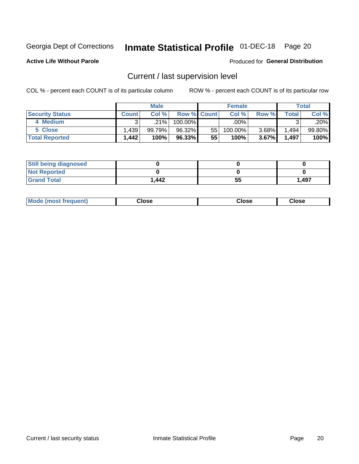## Inmate Statistical Profile 01-DEC-18 Page 20

**Active Life Without Parole** 

#### Produced for General Distribution

## Current / last supervision level

COL % - percent each COUNT is of its particular column

|                        |              | <b>Male</b> |                    |    | <b>Female</b> |          |         | <b>Total</b> |
|------------------------|--------------|-------------|--------------------|----|---------------|----------|---------|--------------|
| <b>Security Status</b> | <b>Count</b> | Col%        | <b>Row % Count</b> |    | Col %         | Row %    | Total   | Col %        |
| 4 Medium               |              | .21%        | 100.00%            |    | .00%          |          |         | .20%         |
| 5 Close                | 1.439        | 99.79%      | 96.32%             | 55 | 100.00%       | 3.68%    | ٔ 494.، | 99.80%       |
| <b>Total Reported</b>  | .442         | 100%        | 96.33%             | 55 | 100%          | $3.67\%$ | 1,497   | 100%         |

| <b>Still being diagnosed</b> |        |    |       |
|------------------------------|--------|----|-------|
| <b>Not Reported</b>          |        |    |       |
| <b>Grand Total</b>           | 442. ا | 55 | 1,497 |

| <b>Mode (most frequent)</b> | Close | ∵lose | Close |
|-----------------------------|-------|-------|-------|
|                             |       |       |       |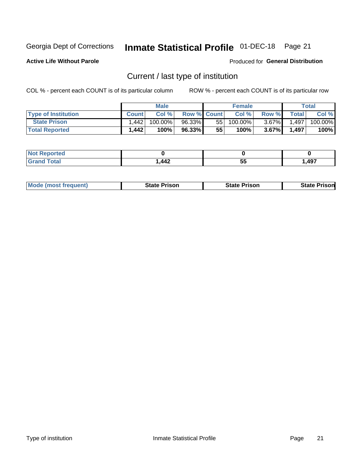## Inmate Statistical Profile 01-DEC-18 Page 21

**Active Life Without Parole** 

Produced for General Distribution

## Current / last type of institution

COL % - percent each COUNT is of its particular column

|                            |              | <b>Male</b> |                    |    | <b>Female</b> |          |                | Total   |
|----------------------------|--------------|-------------|--------------------|----|---------------|----------|----------------|---------|
| <b>Type of Institution</b> | <b>Count</b> | Col %       | <b>Row % Count</b> |    | Col %         | Row %    | <b>Total</b> I | Col %   |
| <b>State Prison</b>        | . 442        | 100.00%     | 96.33%             | 55 | $100.00\%$    | $3.67\%$ | 1,497          | 100.00% |
| <b>Total Reported</b>      | l.442        | 100%        | 96.33% 1           | 55 | 100%          | $3.67\%$ | 1,497          | 100%    |

| τeα<br>$\sim$ |            |    |       |
|---------------|------------|----|-------|
|               | AA2<br>ᅮᅮᄼ | 5. | 1,497 |

| <b>Mode (most frequent)</b> | State Prison | <b>State Prison</b> | State<br>⊦ Prisonl |
|-----------------------------|--------------|---------------------|--------------------|
|                             |              |                     |                    |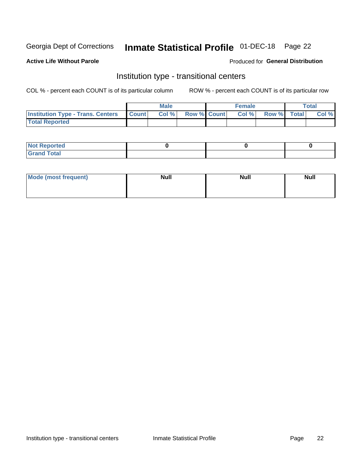## Inmate Statistical Profile 01-DEC-18 Page 22

### **Active Life Without Parole**

#### Produced for General Distribution

### Institution type - transitional centers

COL % - percent each COUNT is of its particular column

|                                          |              | <b>Male</b> |             | <b>Female</b> |             | <b>Total</b> |
|------------------------------------------|--------------|-------------|-------------|---------------|-------------|--------------|
| <b>Institution Type - Trans. Centers</b> | <b>Count</b> | Col %       | Row % Count | Col %         | Row % Total | Col %        |
| <b>Total Reported</b>                    |              |             |             |               |             |              |

| <b>Reported</b><br><b>NOT</b><br>$\sim$            |  |  |
|----------------------------------------------------|--|--|
| $f$ $f \circ f \circ f$<br>$C = 1$<br><b>TULAI</b> |  |  |

| Mode (most frequent) | <b>Null</b> | <b>Null</b> | <b>Null</b> |
|----------------------|-------------|-------------|-------------|
|                      |             |             |             |
|                      |             |             |             |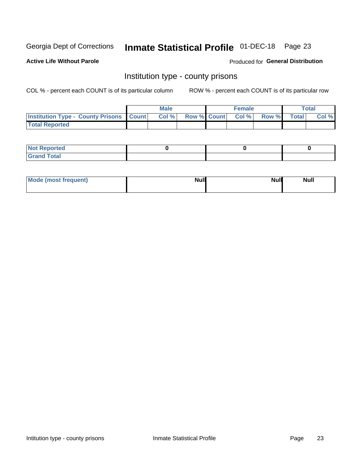## Inmate Statistical Profile 01-DEC-18 Page 23

**Active Life Without Parole** 

**Produced for General Distribution** 

### Institution type - county prisons

COL % - percent each COUNT is of its particular column

|                                                    | <b>Male</b> |       |  | <b>Female</b> |                          |             | <b>Total</b> |       |
|----------------------------------------------------|-------------|-------|--|---------------|--------------------------|-------------|--------------|-------|
| <b>Institution Type - County Prisons   Count  </b> |             | Col % |  |               | <b>Row % Count Col %</b> | Row % Total |              | Col % |
| <b>Total Reported</b>                              |             |       |  |               |                          |             |              |       |

| <b>Not</b><br>: Reported<br> |  |  |
|------------------------------|--|--|
| <b>Total</b><br>---          |  |  |

| Mode (most frequent) | <b>Null</b> | <b>Null</b><br><b>Null</b> |
|----------------------|-------------|----------------------------|
|                      |             |                            |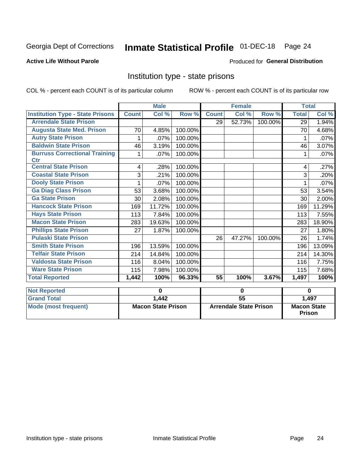# Inmate Statistical Profile 01-DEC-18 Page 24

#### **Active Life Without Parole**

#### Produced for General Distribution

### Institution type - state prisons

COL % - percent each COUNT is of its particular column

|                                             | <b>Male</b>               |        |                               |                 | <b>Female</b> |                                     | <b>Total</b> |        |
|---------------------------------------------|---------------------------|--------|-------------------------------|-----------------|---------------|-------------------------------------|--------------|--------|
| <b>Institution Type - State Prisons</b>     | <b>Count</b>              | Col %  | Row %                         | <b>Count</b>    | Col %         | Row %                               | <b>Total</b> | Col %  |
| <b>Arrendale State Prison</b>               |                           |        |                               | 29              | 52.73%        | 100.00%                             | 29           | 1.94%  |
| <b>Augusta State Med. Prison</b>            | 70                        | 4.85%  | 100.00%                       |                 |               |                                     | 70           | 4.68%  |
| <b>Autry State Prison</b>                   | 1                         | .07%   | 100.00%                       |                 |               |                                     |              | .07%   |
| <b>Baldwin State Prison</b>                 | 46                        | 3.19%  | 100.00%                       |                 |               |                                     | 46           | 3.07%  |
| <b>Burruss Correctional Training</b><br>Ctr | 1                         | .07%   | 100.00%                       |                 |               |                                     | 1            | .07%   |
| <b>Central State Prison</b>                 | 4                         | .28%   | 100.00%                       |                 |               |                                     | 4            | .27%   |
| <b>Coastal State Prison</b>                 | 3                         | .21%   | 100.00%                       |                 |               |                                     | 3            | .20%   |
| <b>Dooly State Prison</b>                   | 1                         | .07%   | 100.00%                       |                 |               |                                     | 1            | .07%   |
| <b>Ga Diag Class Prison</b>                 | 53                        | 3.68%  | 100.00%                       |                 |               |                                     | 53           | 3.54%  |
| <b>Ga State Prison</b>                      | 30                        | 2.08%  | 100.00%                       |                 |               |                                     | 30           | 2.00%  |
| <b>Hancock State Prison</b>                 | 169                       | 11.72% | 100.00%                       |                 |               |                                     | 169          | 11.29% |
| <b>Hays State Prison</b>                    | 113                       | 7.84%  | 100.00%                       |                 |               |                                     | 113          | 7.55%  |
| <b>Macon State Prison</b>                   | 283                       | 19.63% | 100.00%                       |                 |               |                                     | 283          | 18.90% |
| <b>Phillips State Prison</b>                | 27                        | 1.87%  | 100.00%                       |                 |               |                                     | 27           | 1.80%  |
| <b>Pulaski State Prison</b>                 |                           |        |                               | 26              | 47.27%        | 100.00%                             | 26           | 1.74%  |
| <b>Smith State Prison</b>                   | 196                       | 13.59% | 100.00%                       |                 |               |                                     | 196          | 13.09% |
| <b>Telfair State Prison</b>                 | 214                       | 14.84% | 100.00%                       |                 |               |                                     | 214          | 14.30% |
| <b>Valdosta State Prison</b>                | 116                       | 8.04%  | 100.00%                       |                 |               |                                     | 116          | 7.75%  |
| <b>Ware State Prison</b>                    | 115                       | 7.98%  | 100.00%                       |                 |               |                                     | 115          | 7.68%  |
| <b>Total Reported</b>                       | 1,442                     | 100%   | 96.33%                        | 55              | 100%          | 3.67%                               | 1,497        | 100%   |
| <b>Not Reported</b>                         | $\bf{0}$                  |        | $\mathbf 0$                   |                 |               | $\bf{0}$                            |              |        |
| <b>Grand Total</b>                          |                           | 1,442  |                               | $\overline{55}$ |               |                                     |              | 1,497  |
| <b>Mode (most frequent)</b>                 | <b>Macon State Prison</b> |        | <b>Arrendale State Prison</b> |                 |               | <b>Macon State</b><br><b>Prison</b> |              |        |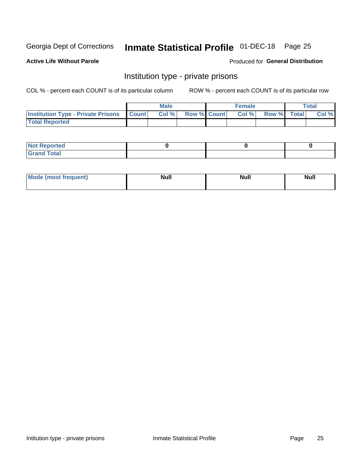## Inmate Statistical Profile 01-DEC-18 Page 25

### **Active Life Without Parole**

#### Produced for General Distribution

### Institution type - private prisons

COL % - percent each COUNT is of its particular column

|                                                     | <b>Male</b> |       |                    | <b>Female</b> |       |             | Total |       |
|-----------------------------------------------------|-------------|-------|--------------------|---------------|-------|-------------|-------|-------|
| <b>Institution Type - Private Prisons   Count  </b> |             | Col % | <b>Row % Count</b> |               | Col % | Row % Total |       | Col % |
| <b>Total Reported</b>                               |             |       |                    |               |       |             |       |       |

| Not Reported          |  |  |
|-----------------------|--|--|
| <b>Cotal</b><br>_____ |  |  |

| <b>Mo</b><br>frequent) | <b>Null</b> | <b>Null</b> | . . I *<br><b>IVUII</b> |
|------------------------|-------------|-------------|-------------------------|
|                        |             |             |                         |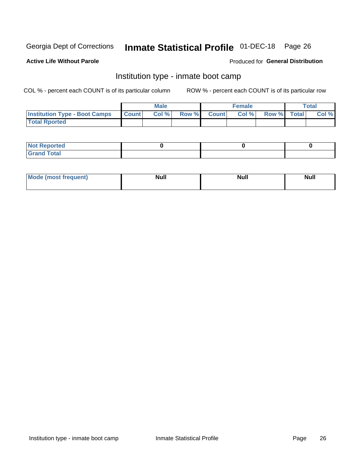# Inmate Statistical Profile 01-DEC-18 Page 26

#### **Active Life Without Parole**

### Produced for General Distribution

### Institution type - inmate boot camp

COL % - percent each COUNT is of its particular column

|                                      | <b>Male</b>  |       |               |              | <b>Female</b> | <b>Total</b> |  |       |
|--------------------------------------|--------------|-------|---------------|--------------|---------------|--------------|--|-------|
| <b>Institution Type - Boot Camps</b> | <b>Count</b> | Col % | <b>Row %I</b> | <b>Count</b> | Col %         | Row % Total  |  | Col % |
| <b>Total Rported</b>                 |              |       |               |              |               |              |  |       |

| <b>Not Reported</b>            |  |  |
|--------------------------------|--|--|
| <b>Total</b><br>C <sub>r</sub> |  |  |

| Mod<br>uamo | Nul.<br>$- - - - - -$ | <b>Null</b> | . .<br>uu.<br>------ |
|-------------|-----------------------|-------------|----------------------|
|             |                       |             |                      |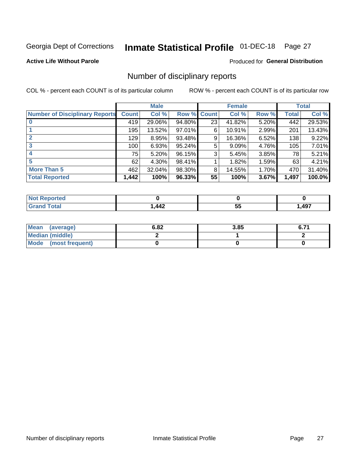# Inmate Statistical Profile 01-DEC-18 Page 27

### **Active Life Without Parole**

### **Produced for General Distribution**

### Number of disciplinary reports

COL % - percent each COUNT is of its particular column

|                                       | <b>Male</b>  |          |        | <b>Female</b> |        |       | <b>Total</b> |        |
|---------------------------------------|--------------|----------|--------|---------------|--------|-------|--------------|--------|
| <b>Number of Disciplinary Reports</b> | <b>Count</b> | Col %    | Row %  | <b>Count</b>  | Col %  | Row % | <b>Total</b> | Col %  |
|                                       | 419          | 29.06%   | 94.80% | 23            | 41.82% | 5.20% | 442          | 29.53% |
|                                       | 195          | 13.52%   | 97.01% | 6             | 10.91% | 2.99% | 201          | 13.43% |
| $\mathbf{2}$                          | 129          | 8.95%    | 93.48% | 9             | 16.36% | 6.52% | 138          | 9.22%  |
| 3                                     | 100          | 6.93%    | 95.24% | 5             | 9.09%  | 4.76% | 105          | 7.01%  |
|                                       | 75           | 5.20%    | 96.15% | 3             | 5.45%  | 3.85% | 78           | 5.21%  |
| 5                                     | 62           | $4.30\%$ | 98.41% |               | 1.82%  | 1.59% | 63           | 4.21%  |
| <b>More Than 5</b>                    | 462          | 32.04%   | 98.30% | 8             | 14.55% | 1.70% | 470          | 31.40% |
| <b>Total Reported</b>                 | 1,442        | 100%     | 96.33% | 55            | 100%   | 3.67% | 1,497        | 100.0% |

| <u>orteo</u><br>NO |            |         |       |
|--------------------|------------|---------|-------|
| <b>otal</b>        | AA2<br>┱┱┻ | --<br>v | 1,497 |

| Mean (average)         | 6.82 | 3.85 | 6.7. |
|------------------------|------|------|------|
| <b>Median (middle)</b> |      |      |      |
| Mode (most frequent)   |      |      |      |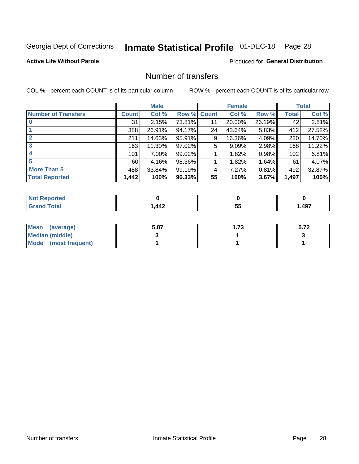# Inmate Statistical Profile 01-DEC-18 Page 28

### **Active Life Without Parole**

### **Produced for General Distribution**

### Number of transfers

COL % - percent each COUNT is of its particular column

|                            |         | <b>Male</b> |        |              | <b>Female</b> |          |              | <b>Total</b> |
|----------------------------|---------|-------------|--------|--------------|---------------|----------|--------------|--------------|
| <b>Number of Transfers</b> | Count l | Col %       | Row %  | <b>Count</b> | Col %         | Row %    | <b>Total</b> | Col %        |
|                            | 31      | 2.15%       | 73.81% | 11           | 20.00%        | 26.19%   | 42           | 2.81%        |
|                            | 388     | 26.91%      | 94.17% | 24           | 43.64%        | 5.83%    | 412          | 27.52%       |
| $\mathbf{2}$               | 211     | 14.63%      | 95.91% | 9            | 16.36%        | 4.09%    | 220          | 14.70%       |
| 3                          | 163     | 11.30%      | 97.02% | 5            | 9.09%         | $2.98\%$ | 168          | 11.22%       |
|                            | 101     | 7.00%       | 99.02% |              | 1.82%         | 0.98%    | 102          | 6.81%        |
| 5                          | 60      | 4.16%       | 98.36% |              | 1.82%         | 1.64%    | 61           | 4.07%        |
| <b>More Than 5</b>         | 488     | 33.84%      | 99.19% | 4            | 7.27%         | 0.81%    | 492          | 32.87%       |
| <b>Total Reported</b>      | 1,442   | 100%        | 96.33% | 55           | 100%          | 3.67%    | 1,497        | 100%         |

| N     |                                |   |      |
|-------|--------------------------------|---|------|
| 'otal | $\boldsymbol{M}$<br><b>TTA</b> | ◡ | 497, |

| Mean (average)       | 5.87 | 1.73 | 9.IŁ |
|----------------------|------|------|------|
| Median (middle)      |      |      |      |
| Mode (most frequent) |      |      |      |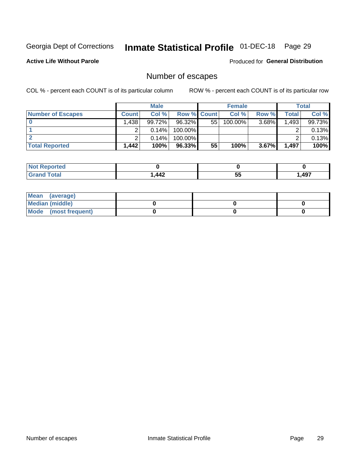## Inmate Statistical Profile 01-DEC-18 Page 29

**Active Life Without Parole** 

**Produced for General Distribution** 

## Number of escapes

COL % - percent each COUNT is of its particular column

|                          |              | <b>Male</b> |                    |    | <b>Female</b> |       |       | <b>Total</b> |
|--------------------------|--------------|-------------|--------------------|----|---------------|-------|-------|--------------|
| <b>Number of Escapes</b> | <b>Count</b> | Col%        | <b>Row % Count</b> |    | Col %         | Row % | Total | Col %        |
|                          | .438         | 99.72%      | 96.32%             | 55 | 100.00%       | 3.68% | 1,493 | 99.73%       |
|                          |              | 0.14%       | 100.00%            |    |               |       |       | 0.13%        |
|                          |              | 0.14%       | 100.00%            |    |               |       |       | 0.13%        |
| <b>Total Reported</b>    | ,442         | 100%        | 96.33%             | 55 | 100%          | 3.67% | 1,497 | 100%         |

| rtea<br><b>NOT</b> |                                      |    |       |
|--------------------|--------------------------------------|----|-------|
| `otal              | $\boldsymbol{A}\boldsymbol{\Lambda}$ | -- | 1.497 |
| Grand              | 14Z                                  | ູບ | − ∪ ≀ |

| Mean (average)         |  |  |
|------------------------|--|--|
| <b>Median (middle)</b> |  |  |
| Mode (most frequent)   |  |  |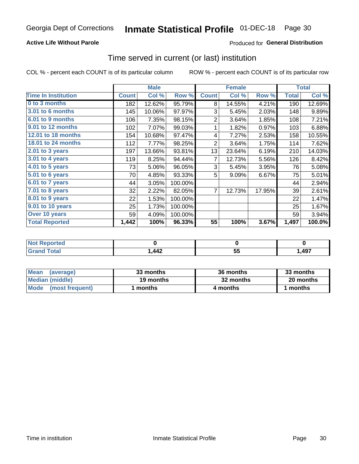### **Active Life Without Parole**

### Produced for General Distribution

### Time served in current (or last) institution

COL % - percent each COUNT is of its particular column

|                            |              | <b>Male</b> |         |                | <b>Female</b> |        |              | <b>Total</b> |
|----------------------------|--------------|-------------|---------|----------------|---------------|--------|--------------|--------------|
| <b>Time In Institution</b> | <b>Count</b> | Col %       | Row %   | <b>Count</b>   | Col %         | Row %  | <b>Total</b> | Col %        |
| 0 to 3 months              | 182          | 12.62%      | 95.79%  | 8              | 14.55%        | 4.21%  | 190          | 12.69%       |
| <b>3.01 to 6 months</b>    | 145          | 10.06%      | 97.97%  | 3              | 5.45%         | 2.03%  | 148          | 9.89%        |
| 6.01 to 9 months           | 106          | 7.35%       | 98.15%  | $\overline{2}$ | 3.64%         | 1.85%  | 108          | 7.21%        |
| 9.01 to 12 months          | 102          | 7.07%       | 99.03%  | 1              | 1.82%         | 0.97%  | 103          | 6.88%        |
| <b>12.01 to 18 months</b>  | 154          | 10.68%      | 97.47%  | 4              | 7.27%         | 2.53%  | 158          | 10.55%       |
| <b>18.01 to 24 months</b>  | 112          | 7.77%       | 98.25%  | $\overline{2}$ | 3.64%         | 1.75%  | 114          | 7.62%        |
| $2.01$ to 3 years          | 197          | 13.66%      | 93.81%  | 13             | 23.64%        | 6.19%  | 210          | 14.03%       |
| 3.01 to 4 years            | 119          | 8.25%       | 94.44%  | 7              | 12.73%        | 5.56%  | 126          | 8.42%        |
| $4.01$ to 5 years          | 73           | 5.06%       | 96.05%  | 3              | 5.45%         | 3.95%  | 76           | 5.08%        |
| 5.01 to 6 years            | 70           | 4.85%       | 93.33%  | 5              | 9.09%         | 6.67%  | 75           | 5.01%        |
| 6.01 to 7 years            | 44           | 3.05%       | 100.00% |                |               |        | 44           | 2.94%        |
| $7.01$ to 8 years          | 32           | 2.22%       | 82.05%  | 7              | 12.73%        | 17.95% | 39           | 2.61%        |
| 8.01 to 9 years            | 22           | 1.53%       | 100.00% |                |               |        | 22           | 1.47%        |
| 9.01 to 10 years           | 25           | 1.73%       | 100.00% |                |               |        | 25           | 1.67%        |
| Over 10 years              | 59           | 4.09%       | 100.00% |                |               |        | 59           | 3.94%        |
| <b>Total Reported</b>      | 1,442        | 100%        | 96.33%  | 55             | 100%          | 3.67%  | 1,497        | 100.0%       |

| Reported<br>NOT F      |      |                |       |
|------------------------|------|----------------|-------|
| $f \wedge f \wedge f'$ | ,442 | --<br>. .<br>◡ | 497,، |

| <b>Mean</b><br>(average) | 33 months | 36 months | 33 months |
|--------------------------|-----------|-----------|-----------|
| Median (middle)          | 19 months | 32 months | 20 months |
| Mode (most frequent)     | months    | 4 months  | ' months  |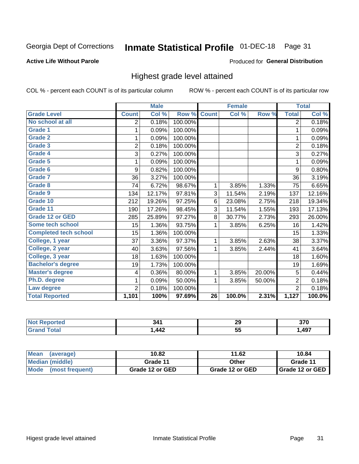#### Inmate Statistical Profile 01-DEC-18 Page 31

#### **Active Life Without Parole**

#### Produced for General Distribution

### Highest grade level attained

COL % - percent each COUNT is of its particular column

|                              |                | <b>Male</b> |         |                 | <b>Female</b> |        |                | <b>Total</b> |
|------------------------------|----------------|-------------|---------|-----------------|---------------|--------|----------------|--------------|
| <b>Grade Level</b>           | <b>Count</b>   | Col %       | Row %   | <b>Count</b>    | Col %         | Row %  | <b>Total</b>   | Col %        |
| No school at all             | 2              | 0.18%       | 100.00% |                 |               |        | $\overline{2}$ | 0.18%        |
| <b>Grade 1</b>               | 1              | 0.09%       | 100.00% |                 |               |        | 1              | 0.09%        |
| <b>Grade 2</b>               | 1              | 0.09%       | 100.00% |                 |               |        | 1              | 0.09%        |
| <b>Grade 3</b>               | $\overline{2}$ | 0.18%       | 100.00% |                 |               |        | $\overline{2}$ | 0.18%        |
| <b>Grade 4</b>               | 3              | 0.27%       | 100.00% |                 |               |        | 3              | 0.27%        |
| <b>Grade 5</b>               | 1              | 0.09%       | 100.00% |                 |               |        | 1              | 0.09%        |
| Grade 6                      | 9              | 0.82%       | 100.00% |                 |               |        | 9              | 0.80%        |
| Grade 7                      | 36             | 3.27%       | 100.00% |                 |               |        | 36             | 3.19%        |
| <b>Grade 8</b>               | 74             | 6.72%       | 98.67%  | 1               | 3.85%         | 1.33%  | 75             | 6.65%        |
| Grade 9                      | 134            | 12.17%      | 97.81%  | 3               | 11.54%        | 2.19%  | 137            | 12.16%       |
| Grade 10                     | 212            | 19.26%      | 97.25%  | 6               | 23.08%        | 2.75%  | 218            | 19.34%       |
| Grade 11                     | 190            | 17.26%      | 98.45%  | 3               | 11.54%        | 1.55%  | 193            | 17.13%       |
| <b>Grade 12 or GED</b>       | 285            | 25.89%      | 97.27%  | 8               | 30.77%        | 2.73%  | 293            | 26.00%       |
| Some tech school             | 15             | 1.36%       | 93.75%  | 1               | 3.85%         | 6.25%  | 16             | 1.42%        |
| <b>Completed tech school</b> | 15             | 1.36%       | 100.00% |                 |               |        | 15             | 1.33%        |
| College, 1 year              | 37             | 3.36%       | 97.37%  | 1               | 3.85%         | 2.63%  | 38             | 3.37%        |
| College, 2 year              | 40             | 3.63%       | 97.56%  | 1               | 3.85%         | 2.44%  | 41             | 3.64%        |
| College, 3 year              | 18             | 1.63%       | 100.00% |                 |               |        | 18             | 1.60%        |
| <b>Bachelor's degree</b>     | 19             | 1.73%       | 100.00% |                 |               |        | 19             | 1.69%        |
| <b>Master's degree</b>       | 4              | 0.36%       | 80.00%  | 1               | 3.85%         | 20.00% | 5              | 0.44%        |
| Ph.D. degree                 | 1              | 0.09%       | 50.00%  | 1               | 3.85%         | 50.00% | $\overline{2}$ | 0.18%        |
| Law degree                   | $\overline{2}$ | 0.18%       | 100.00% |                 |               |        | $\overline{2}$ | 0.18%        |
| <b>Total Reported</b>        | 1,101          | 100%        | 97.69%  | $\overline{26}$ | 100.0%        | 2.31%  | 1,127          | 100.0%       |

| N | ۰A<br>V      | 29  | $- - -$<br>JI J |
|---|--------------|-----|-----------------|
|   | AA2<br>T T 6 | JJ. | ,497            |

| <b>Mean</b><br>(average)           | 10.82           | 11.62           | 10.84           |  |  |
|------------------------------------|-----------------|-----------------|-----------------|--|--|
| <b>Median (middle)</b><br>Grade 11 |                 | Other           | Grade 11        |  |  |
| Mode<br>(most frequent)            | Grade 12 or GED | Grade 12 or GED | Grade 12 or GED |  |  |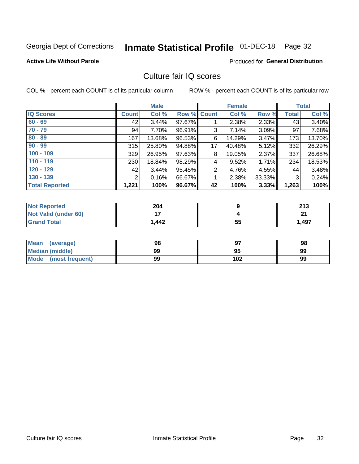# Inmate Statistical Profile 01-DEC-18 Page 32

#### **Active Life Without Parole**

### **Produced for General Distribution**

### Culture fair IQ scores

COL % - percent each COUNT is of its particular column

|                       | <b>Male</b>  |        | <b>Female</b>      |                |        | <b>Total</b> |              |        |
|-----------------------|--------------|--------|--------------------|----------------|--------|--------------|--------------|--------|
| <b>IQ Scores</b>      | <b>Count</b> | Col %  | <b>Row % Count</b> |                | Col %  | Row %        | <b>Total</b> | Col %  |
| $60 - 69$             | 42           | 3.44%  | 97.67%             |                | 2.38%  | 2.33%        | 43           | 3.40%  |
| $70 - 79$             | 94           | 7.70%  | 96.91%             | 3              | 7.14%  | 3.09%        | 97           | 7.68%  |
| $80 - 89$             | 167          | 13.68% | 96.53%             | 6              | 14.29% | 3.47%        | 173          | 13.70% |
| $90 - 99$             | 315          | 25.80% | 94.88%             | 17             | 40.48% | 5.12%        | 332          | 26.29% |
| $100 - 109$           | 329          | 26.95% | 97.63%             | 8              | 19.05% | 2.37%        | 337          | 26.68% |
| $110 - 119$           | 230          | 18.84% | 98.29%             | 4              | 9.52%  | 1.71%        | 234          | 18.53% |
| $120 - 129$           | 42           | 3.44%  | 95.45%             | $\overline{2}$ | 4.76%  | 4.55%        | 44           | 3.48%  |
| $130 - 139$           | 2            | 0.16%  | 66.67%             | 1              | 2.38%  | 33.33%       | 3            | 0.24%  |
| <b>Total Reported</b> | 1,221        | 100%   | 96.67%             | 42             | 100%   | 3.33%        | 1,263        | 100%   |

| <b>Not Reported</b>         | 204            |    | つイク<br>د ا ع |
|-----------------------------|----------------|----|--------------|
| <b>Not Valid (under 60)</b> | $\blacksquare$ |    | n,           |
| <b>Grand Total</b>          | 1,442          | 55 | 1,497        |

| <b>Mean</b><br>(average) | 98 |     | 98 |
|--------------------------|----|-----|----|
| Median (middle)          | 99 | 95  | 99 |
| Mode (most frequent)     | 99 | 102 | 99 |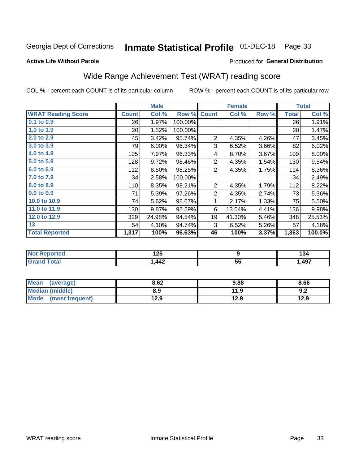## Inmate Statistical Profile 01-DEC-18 Page 33

#### **Active Life Without Parole**

### Produced for General Distribution

## Wide Range Achievement Test (WRAT) reading score

COL % - percent each COUNT is of its particular column

|                           |                 | <b>Male</b> |         |                | <b>Female</b> | <b>Total</b> |              |        |
|---------------------------|-----------------|-------------|---------|----------------|---------------|--------------|--------------|--------|
| <b>WRAT Reading Score</b> | <b>Count</b>    | Col %       | Row %   | <b>Count</b>   | Col %         | Row %        | <b>Total</b> | Col %  |
| $0.1$ to $0.9$            | 26              | 1.97%       | 100.00% |                |               |              | 26           | 1.91%  |
| 1.0 to 1.9                | 20 <sup>2</sup> | 1.52%       | 100.00% |                |               |              | 20           | 1.47%  |
| 2.0 to 2.9                | 45              | 3.42%       | 95.74%  | $\overline{2}$ | 4.35%         | 4.26%        | 47           | 3.45%  |
| 3.0 to 3.9                | 79              | 6.00%       | 96.34%  | 3              | 6.52%         | 3.66%        | 82           | 6.02%  |
| 4.0 to 4.9                | 105             | 7.97%       | 96.33%  | 4              | 8.70%         | 3.67%        | 109          | 8.00%  |
| 5.0 to 5.9                | 128             | 9.72%       | 98.46%  | $\overline{2}$ | 4.35%         | 1.54%        | 130          | 9.54%  |
| 6.0 to 6.9                | 112             | 8.50%       | 98.25%  | 2              | 4.35%         | 1.75%        | 114          | 8.36%  |
| 7.0 to 7.9                | 34              | 2.58%       | 100.00% |                |               |              | 34           | 2.49%  |
| 8.0 to 8.9                | 110             | 8.35%       | 98.21%  | 2              | 4.35%         | 1.79%        | 112          | 8.22%  |
| 9.0 to 9.9                | 71              | 5.39%       | 97.26%  | $\overline{2}$ | 4.35%         | 2.74%        | 73           | 5.36%  |
| 10.0 to 10.9              | 74              | 5.62%       | 98.67%  | 1              | 2.17%         | 1.33%        | 75           | 5.50%  |
| 11.0 to 11.9              | 130             | 9.87%       | 95.59%  | 6              | 13.04%        | 4.41%        | 136          | 9.98%  |
| 12.0 to 12.9              | 329             | 24.98%      | 94.54%  | 19             | 41.30%        | 5.46%        | 348          | 25.53% |
| 13                        | 54              | 4.10%       | 94.74%  | 3              | 6.52%         | 5.26%        | 57           | 4.18%  |
| <b>Total Reported</b>     | 1,317           | 100%        | 96.63%  | 46             | 100%          | 3.37%        | 1,363        | 100.0% |

| <b>Not Reported</b> | אמ ו<br>IZJ |                    | .<br>134 |
|---------------------|-------------|--------------------|----------|
| <b>Total</b>        | ,442        | --<br>$\sim$<br>JJ | ,497     |

| <b>Mean</b><br>(average)       | 8.62 | 9.88 | 8.66 |
|--------------------------------|------|------|------|
| Median (middle)                | 8.9  | 11.9 | 9.2  |
| <b>Mode</b><br>(most frequent) | 12.9 | 12.9 | 12.9 |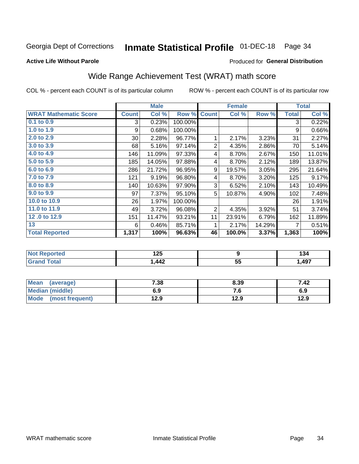#### Inmate Statistical Profile 01-DEC-18 Page 34

#### **Active Life Without Parole**

#### Produced for General Distribution

## Wide Range Achievement Test (WRAT) math score

COL % - percent each COUNT is of its particular column

|                              | <b>Male</b>  |        |         |                | <b>Female</b> | <b>Total</b> |              |        |
|------------------------------|--------------|--------|---------|----------------|---------------|--------------|--------------|--------|
| <b>WRAT Mathematic Score</b> | <b>Count</b> | Col %  | Row %   | <b>Count</b>   | Col %         | Row %        | <b>Total</b> | Col %  |
| $0.1$ to $0.9$               | 3            | 0.23%  | 100.00% |                |               |              | 3            | 0.22%  |
| 1.0 to 1.9                   | 9            | 0.68%  | 100.00% |                |               |              | 9            | 0.66%  |
| 2.0 to 2.9                   | $30$         | 2.28%  | 96.77%  | 1              | 2.17%         | 3.23%        | 31           | 2.27%  |
| 3.0 to 3.9                   | 68           | 5.16%  | 97.14%  | $\overline{2}$ | 4.35%         | 2.86%        | 70           | 5.14%  |
| 4.0 to 4.9                   | 146          | 11.09% | 97.33%  | 4              | 8.70%         | 2.67%        | 150          | 11.01% |
| 5.0 to 5.9                   | 185          | 14.05% | 97.88%  | 4              | 8.70%         | 2.12%        | 189          | 13.87% |
| 6.0 to 6.9                   | 286          | 21.72% | 96.95%  | 9              | 19.57%        | 3.05%        | 295          | 21.64% |
| 7.0 to 7.9                   | 121          | 9.19%  | 96.80%  | 4              | 8.70%         | 3.20%        | 125          | 9.17%  |
| 8.0 to 8.9                   | 140          | 10.63% | 97.90%  | 3              | 6.52%         | 2.10%        | 143          | 10.49% |
| 9.0 to 9.9                   | 97           | 7.37%  | 95.10%  | 5              | 10.87%        | 4.90%        | 102          | 7.48%  |
| 10.0 to 10.9                 | 26           | 1.97%  | 100.00% |                |               |              | 26           | 1.91%  |
| 11.0 to 11.9                 | 49           | 3.72%  | 96.08%  | $\overline{2}$ | 4.35%         | 3.92%        | 51           | 3.74%  |
| 12.0 to 12.9                 | 151          | 11.47% | 93.21%  | 11             | 23.91%        | 6.79%        | 162          | 11.89% |
| 13                           | 6            | 0.46%  | 85.71%  | 1              | 2.17%         | 14.29%       | 7            | 0.51%  |
| <b>Total Reported</b>        | 1,317        | 100%   | 96.63%  | 46             | 100.0%        | 3.37%        | 1,363        | 100%   |
|                              |              |        |         |                |               |              |              |        |

| <b>Not Reported</b> | א ו<br>14J |         | ּ״<br>134 |
|---------------------|------------|---------|-----------|
| <b>Total</b>        | 442        | БF<br>◡ | ,497      |

| Mean (average)         | 7.38 | 8.39 | 7.42 |
|------------------------|------|------|------|
| <b>Median (middle)</b> | 6.9  | ס. י | 6.9  |
| Mode (most frequent)   | 12.9 | 12.9 | 12.9 |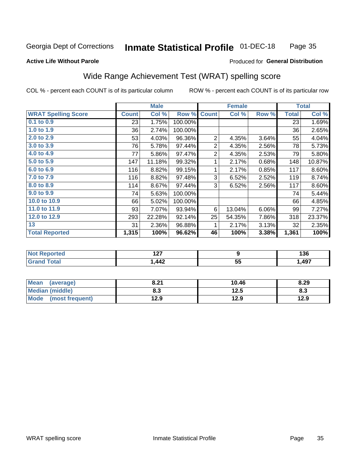#### **Inmate Statistical Profile 01-DEC-18** Page 35

#### **Active Life Without Parole**

### Produced for General Distribution

### Wide Range Achievement Test (WRAT) spelling score

COL % - percent each COUNT is of its particular column

|                            | <b>Male</b>  |                  |         |                 | <b>Female</b>  | <b>Total</b> |              |        |
|----------------------------|--------------|------------------|---------|-----------------|----------------|--------------|--------------|--------|
| <b>WRAT Spelling Score</b> | <b>Count</b> | Col %            | Row %   | <b>Count</b>    | Col %          | Row %        | <b>Total</b> | Col %  |
| $0.1$ to $0.9$             | 23           | 1.75%            | 100.00% |                 |                |              | 23           | 1.69%  |
| 1.0 to 1.9                 | 36           | 2.74%            | 100.00% |                 |                |              | 36           | 2.65%  |
| 2.0 to 2.9                 | 53           | 4.03%            | 96.36%  | $\overline{2}$  | 4.35%          | 3.64%        | 55           | 4.04%  |
| 3.0 to 3.9                 | 76           | 5.78%            | 97.44%  | $\overline{2}$  | 4.35%          | 2.56%        | 78           | 5.73%  |
| 4.0 to 4.9                 | 77           | 5.86%            | 97.47%  | $\overline{2}$  | 4.35%          | 2.53%        | 79           | 5.80%  |
| 5.0 to 5.9                 | 147          | 11.18%           | 99.32%  | 1               | 2.17%          | 0.68%        | 148          | 10.87% |
| 6.0 to 6.9                 | 116          | 8.82%            | 99.15%  | 1               | 2.17%          | 0.85%        | 117          | 8.60%  |
| 7.0 to 7.9                 | 116          | 8.82%            | 97.48%  | 3               | 6.52%          | 2.52%        | 119          | 8.74%  |
| 8.0 to 8.9                 | 114          | 8.67%            | 97.44%  | 3               | 6.52%          | 2.56%        | 117          | 8.60%  |
| 9.0 to 9.9                 | 74           | 5.63%            | 100.00% |                 |                |              | 74           | 5.44%  |
| 10.0 to 10.9               | 66           | 5.02%            | 100.00% |                 |                |              | 66           | 4.85%  |
| 11.0 to 11.9               | 93           | 7.07%            | 93.94%  | 6               | 13.04%         | 6.06%        | 99           | 7.27%  |
| 12.0 to 12.9               | 293          | 22.28%           | 92.14%  | 25              | 54.35%         | 7.86%        | 318          | 23.37% |
| 13                         | 31           | 2.36%            | 96.88%  | 1               | 2.17%          | 3.13%        | 32           | 2.35%  |
| <b>Total Reported</b>      | 1,315        | 100%             | 96.62%  | 46              | 100%           | 3.38%        | 1,361        | 100%   |
|                            |              |                  |         |                 |                |              |              |        |
| <b>Not Reported</b>        |              | $\overline{127}$ |         |                 | $\overline{9}$ |              |              | 136    |
| <b>Grand Total</b>         |              | 1,442            |         | $\overline{55}$ |                |              | 1,497        |        |

| <b>Mean</b><br>(average)       | 8.21      | 10.46 | 8.29 |
|--------------------------------|-----------|-------|------|
| <b>Median (middle)</b>         | ວາ<br>ი.ა | 12.5  | ი.ა  |
| <b>Mode</b><br>(most frequent) | 12.9      | 12.9  | 12.9 |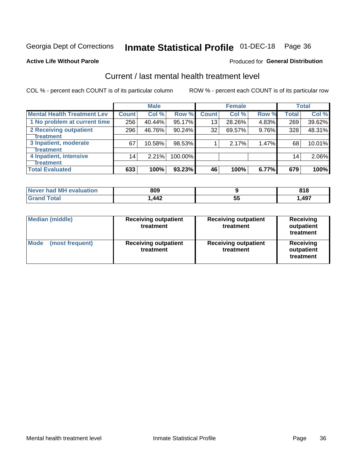## Inmate Statistical Profile 01-DEC-18 Page 36

#### **Active Life Without Parole**

#### **Produced for General Distribution**

## Current / last mental health treatment level

COL % - percent each COUNT is of its particular column

|                                    |                 | <b>Male</b> |         |              | <b>Female</b> |       |                 | <b>Total</b> |
|------------------------------------|-----------------|-------------|---------|--------------|---------------|-------|-----------------|--------------|
| <b>Mental Health Treatment Lev</b> | <b>Count</b>    | Col %       | Row %   | <b>Count</b> | Col %         | Row % | <b>Total</b>    | Col %        |
| 1 No problem at current time       | 256             | 40.44%      | 95.17%  | 13           | 28.26%        | 4.83% | 269             | 39.62%       |
| 2 Receiving outpatient             | 296             | 46.76%      | 90.24%  | 32           | 69.57%        | 9.76% | 328             | 48.31%       |
| <b>Treatment</b>                   |                 |             |         |              |               |       |                 |              |
| 3 Inpatient, moderate              | 67              | 10.58%      | 98.53%  |              | 2.17%         | 1.47% | 68              | 10.01%       |
| <b>Treatment</b>                   |                 |             |         |              |               |       |                 |              |
| 4 Inpatient, intensive             | 14 <sub>1</sub> | 2.21%       | 100.00% |              |               |       | 14 <sub>1</sub> | 2.06%        |
| <b>Treatment</b>                   |                 |             |         |              |               |       |                 |              |
| <b>Total Evaluated</b>             | 633             | 100%        | 93.23%  | 46           | 100%          | 6.77% | 679             | 100%         |

| Never had MH evaluation | 809  |              | 04 <sup>7</sup><br><b>v</b> 1 u |
|-------------------------|------|--------------|---------------------------------|
| Total                   | ,442 | $\sim$<br>JJ | ,497                            |

| <b>Median (middle)</b>         | <b>Receiving outpatient</b><br>treatment | <b>Receiving outpatient</b><br>treatment | <b>Receiving</b><br>outpatient<br>treatment |  |
|--------------------------------|------------------------------------------|------------------------------------------|---------------------------------------------|--|
| <b>Mode</b><br>(most frequent) | <b>Receiving outpatient</b><br>treatment | <b>Receiving outpatient</b><br>treatment | <b>Receiving</b><br>outpatient<br>treatment |  |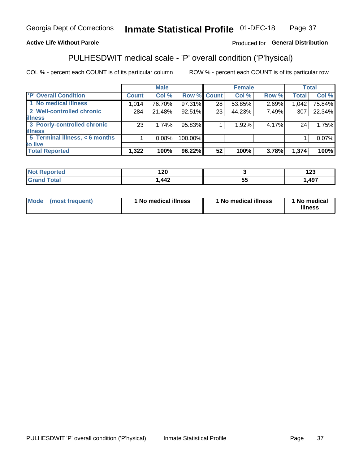#### Inmate Statistical Profile 01-DEC-18 Page 37

### **Active Life Without Parole**

### Produced for General Distribution

## PULHESDWIT medical scale - 'P' overall condition ('P'hysical)

COL % - percent each COUNT is of its particular column

|                                |       | <b>Male</b> |                    |    | <b>Female</b> |       |              | <b>Total</b> |
|--------------------------------|-------|-------------|--------------------|----|---------------|-------|--------------|--------------|
| 'P' Overall Condition          | Count | Col %       | <b>Row % Count</b> |    | Col %         | Row % | <b>Total</b> | Col %        |
| 1 No medical illness           | 1,014 | 76.70%      | 97.31%             | 28 | 53.85%        | 2.69% | 1,042        | 75.84%       |
| 2 Well-controlled chronic      | 284   | 21.48%      | 92.51%             | 23 | 44.23%        | 7.49% | 307          | 22.34%       |
| <b>illness</b>                 |       |             |                    |    |               |       |              |              |
| 3 Poorly-controlled chronic    | 23    | 1.74%       | 95.83%             |    | 1.92%         | 4.17% | 24           | 1.75%        |
| <b>illness</b>                 |       |             |                    |    |               |       |              |              |
| 5 Terminal illness, < 6 months |       | 0.08%       | 100.00%            |    |               |       |              | 0.07%        |
| to live                        |       |             |                    |    |               |       |              |              |
| <b>Total Reported</b>          | 1,322 | 100%        | 96.22%             | 52 | 100%          | 3.78% | 1,374        | 100%         |

|       | .<br>. 2V     |           | י ה<br>14J |
|-------|---------------|-----------|------------|
| _____ | $\bm{A}$<br>╍ | - -<br>J, | ,497       |

| <b>Mode</b> | (most frequent) | 1 No medical illness | 1 No medical illness | 1 No medical<br>illness |
|-------------|-----------------|----------------------|----------------------|-------------------------|
|-------------|-----------------|----------------------|----------------------|-------------------------|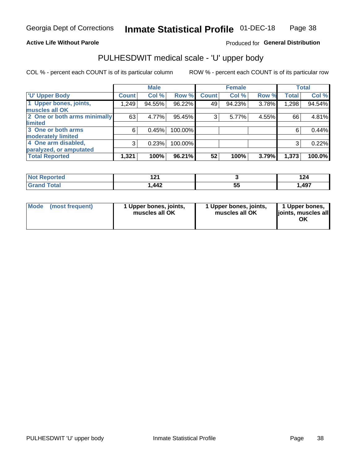### **Active Life Without Parole**

### Produced for General Distribution

## PULHESDWIT medical scale - 'U' upper body

COL % - percent each COUNT is of its particular column

|                              |              | <b>Male</b> |         |              | <b>Female</b> |       |              | <b>Total</b> |
|------------------------------|--------------|-------------|---------|--------------|---------------|-------|--------------|--------------|
| <b>U' Upper Body</b>         | <b>Count</b> | Col %       | Row %   | <b>Count</b> | Col %         | Row % | <b>Total</b> | Col %        |
| 1 Upper bones, joints,       | 1,249        | 94.55%      | 96.22%  | 49           | 94.23%        | 3.78% | 1,298        | 94.54%       |
| muscles all OK               |              |             |         |              |               |       |              |              |
| 2 One or both arms minimally | 63           | 4.77%       | 95.45%  | 3            | 5.77%         | 4.55% | 66           | 4.81%        |
| <b>limited</b>               |              |             |         |              |               |       |              |              |
| 3 One or both arms           | 6            | 0.45%       | 100.00% |              |               |       | 6            | 0.44%        |
| <b>moderately limited</b>    |              |             |         |              |               |       |              |              |
| 4 One arm disabled,          | 3            | 0.23%       | 100.00% |              |               |       | 3            | 0.22%        |
| paralyzed, or amputated      |              |             |         |              |               |       |              |              |
| <b>Total Reported</b>        | 1,321        | 100%        | 96.21%  | 52           | 100%          | 3.79% | 1,373        | 100.0%       |

| <b>Not Reported</b>              | 1 n 1<br>. |          | $\sim$<br>124 |
|----------------------------------|------------|----------|---------------|
| <b>Total</b><br><b>UI 41 I 4</b> | .442       | --<br>vu | ,497          |

| Mode | (most frequent) | 1 Upper bones, joints,<br>muscles all OK | 1 Upper bones, joints,<br>muscles all OK | 1 Upper bones,<br>ljoints, muscles all<br>OK |
|------|-----------------|------------------------------------------|------------------------------------------|----------------------------------------------|
|------|-----------------|------------------------------------------|------------------------------------------|----------------------------------------------|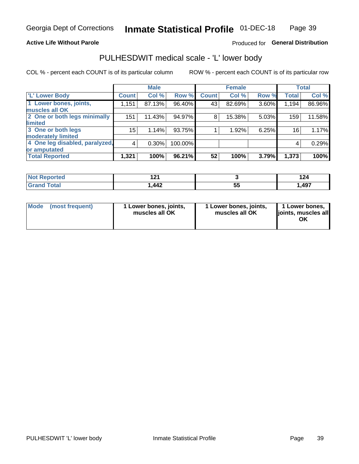### **Active Life Without Parole**

### Produced for General Distribution

### PULHESDWIT medical scale - 'L' lower body

COL % - percent each COUNT is of its particular column

|                                |                | <b>Male</b> |         |              | <b>Female</b> |       |              | <b>Total</b> |
|--------------------------------|----------------|-------------|---------|--------------|---------------|-------|--------------|--------------|
| 'L' Lower Body                 | <b>Count</b>   | Col %       | Row %   | <b>Count</b> | Col %         | Row % | <b>Total</b> | Col %        |
| 1 Lower bones, joints,         | 1,151          | 87.13%      | 96.40%  | 43           | 82.69%        | 3.60% | 1,194        | 86.96%       |
| muscles all OK                 |                |             |         |              |               |       |              |              |
| 2 One or both legs minimally   | 151            | 11.43%      | 94.97%  | 8            | 15.38%        | 5.03% | 159          | 11.58%       |
| limited                        |                |             |         |              |               |       |              |              |
| 3 One or both legs             | 15             | 1.14%       | 93.75%  |              | 1.92%         | 6.25% | 16           | 1.17%        |
| moderately limited             |                |             |         |              |               |       |              |              |
| 4 One leg disabled, paralyzed, | $\overline{4}$ | 0.30%       | 100.00% |              |               |       | 4            | 0.29%        |
| or amputated                   |                |             |         |              |               |       |              |              |
| <b>Total Reported</b>          | 1,321          | 100%        | 96.21%  | 52           | 100%          | 3.79% | 1,373        | 100%         |

| <b>Not Reported</b>              | 1 n 1<br>. |          | $\sim$<br>124 |
|----------------------------------|------------|----------|---------------|
| <b>Total</b><br><b>UI 41 I 4</b> | .442       | --<br>vu | ,497          |

| Mode | (most frequent) | 1 Lower bones, joints,<br>muscles all OK | 1 Lower bones, joints,<br>muscles all OK | 1 Lower bones,<br>ljoints, muscles all<br>OK |
|------|-----------------|------------------------------------------|------------------------------------------|----------------------------------------------|
|------|-----------------|------------------------------------------|------------------------------------------|----------------------------------------------|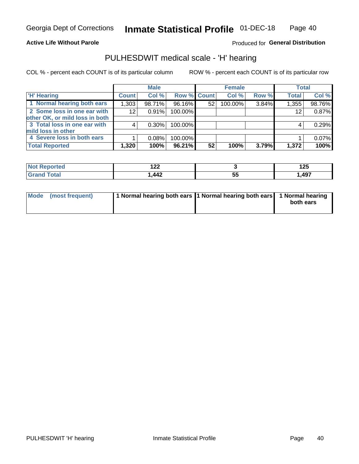### **Active Life Without Parole**

Produced for General Distribution

### PULHESDWIT medical scale - 'H' hearing

COL % - percent each COUNT is of its particular column

|                                |              | <b>Male</b> |                    |    | <b>Female</b> |       | <b>Total</b> |        |
|--------------------------------|--------------|-------------|--------------------|----|---------------|-------|--------------|--------|
| <b>H' Hearing</b>              | <b>Count</b> | Col %       | <b>Row % Count</b> |    | Col %         | Row % | <b>Total</b> | Col %  |
| 1 Normal hearing both ears     | 1,303        | 98.71%      | 96.16%             | 52 | 100.00%       | 3.84% | 1,355        | 98.76% |
| 2 Some loss in one ear with    | 12           | 0.91%       | 100.00%            |    |               |       | 12           | 0.87%  |
| other OK, or mild loss in both |              |             |                    |    |               |       |              |        |
| 3 Total loss in one ear with   | 4            | 0.30%       | 100.00%            |    |               |       | 4            | 0.29%  |
| mild loss in other             |              |             |                    |    |               |       |              |        |
| 4 Severe loss in both ears     |              | 0.08%       | 100.00%            |    |               |       |              | 0.07%  |
| <b>Total Reported</b>          | 1,320        | 100%        | 96.21%             | 52 | 100%          | 3.79% | 1,372        | 100%   |

|       | $\sim$<br>' <i>' '</i> '<br>---   |    | 1つに<br>14J   |
|-------|-----------------------------------|----|--------------|
| _____ | $\Lambda \Lambda$<br><u> 776 </u> | J, | .497<br>TJ 1 |

| Mode (most frequent) | 1 Normal hearing both ears 1 Normal hearing both ears 1 Normal hearing | both ears |
|----------------------|------------------------------------------------------------------------|-----------|
|                      |                                                                        |           |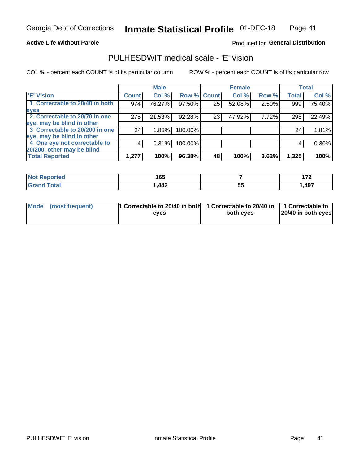### **Active Life Without Parole**

### Produced for General Distribution

### PULHESDWIT medical scale - 'E' vision

COL % - percent each COUNT is of its particular column

|                                |              | <b>Male</b> |         |             | <b>Female</b> |       |              | <b>Total</b> |
|--------------------------------|--------------|-------------|---------|-------------|---------------|-------|--------------|--------------|
| <b>E' Vision</b>               | <b>Count</b> | Col %       |         | Row % Count | Col %         | Row % | <b>Total</b> | Col %        |
| 1 Correctable to 20/40 in both | 974          | 76.27%      | 97.50%  | 25          | 52.08%        | 2.50% | 999          | 75.40%       |
| eyes                           |              |             |         |             |               |       |              |              |
| 2 Correctable to 20/70 in one  | 275          | 21.53%      | 92.28%  | 23          | 47.92%        | 7.72% | 298          | 22.49%       |
| eye, may be blind in other     |              |             |         |             |               |       |              |              |
| 3 Correctable to 20/200 in one | 24           | 1.88%       | 100.00% |             |               |       | 24           | 1.81%        |
| eye, may be blind in other     |              |             |         |             |               |       |              |              |
| 4 One eye not correctable to   | 4            | 0.31%       | 100.00% |             |               |       | 4            | 0.30%        |
| 20/200, other may be blind     |              |             |         |             |               |       |              |              |
| <b>Total Reported</b>          | 1,277        | 100%        | 96.38%  | 48          | 100%          | 3.62% | 1,325        | 100%         |

| <b>Not Reported</b> | 1 C E<br>טע |          | ---<br>. . |
|---------------------|-------------|----------|------------|
| Total               | ,442        | --<br>ວະ | ,497       |

| Mode (most frequent) | 1 Correctable to 20/40 in both<br>eves | 1 Correctable to 20/40 in   1 Correctable to<br>both eyes | 20/40 in both eyes |
|----------------------|----------------------------------------|-----------------------------------------------------------|--------------------|
|                      |                                        |                                                           |                    |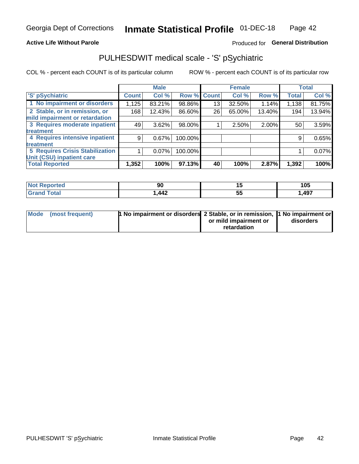### **Active Life Without Parole**

### Produced for General Distribution

## PULHESDWIT medical scale - 'S' pSychiatric

COL % - percent each COUNT is of its particular column

|                                        |              | <b>Male</b> |         |                    | <b>Female</b> |        |              | <b>Total</b> |
|----------------------------------------|--------------|-------------|---------|--------------------|---------------|--------|--------------|--------------|
| 'S' pSychiatric                        | <b>Count</b> | Col %       |         | <b>Row % Count</b> | Col %         | Row %  | <b>Total</b> | Col %        |
| 1 No impairment or disorders           | 1,125        | 83.21%      | 98.86%  | 13                 | 32.50%        | 1.14%  | 1,138        | 81.75%       |
| 2 Stable, or in remission, or          | 168          | 12.43%      | 86.60%  | 26                 | 65.00%        | 13.40% | 194          | 13.94%       |
| mild impairment or retardation         |              |             |         |                    |               |        |              |              |
| 3 Requires moderate inpatient          | 49           | 3.62%       | 98.00%  |                    | 2.50%         | 2.00%  | 50           | 3.59%        |
| treatment                              |              |             |         |                    |               |        |              |              |
| 4 Requires intensive inpatient         | 9            | 0.67%       | 100.00% |                    |               |        | 9            | 0.65%        |
| treatment                              |              |             |         |                    |               |        |              |              |
| <b>5 Requires Crisis Stabilization</b> |              | $0.07\%$    | 100.00% |                    |               |        |              | 0.07%        |
| Unit (CSU) inpatient care              |              |             |         |                    |               |        |              |              |
| <b>Total Reported</b>                  | 1,352        | 100%        | 97.13%  | 40                 | 100%          | 2.87%  | 1,392        | 100%         |

| <b>Not Reported</b>   | ึงเ                                                 |   | 105    |
|-----------------------|-----------------------------------------------------|---|--------|
| <b>Total</b><br>Grand | $\boldsymbol{A}\boldsymbol{\Lambda}^{\bullet}$<br>. | ◡ | 497, ، |

| Mode (most frequent) | <b>1 No impairment or disorders</b> 2 Stable, or in remission, 11 No impairment or |                       |           |
|----------------------|------------------------------------------------------------------------------------|-----------------------|-----------|
|                      |                                                                                    | or mild impairment or | disorders |
|                      |                                                                                    | retardation           |           |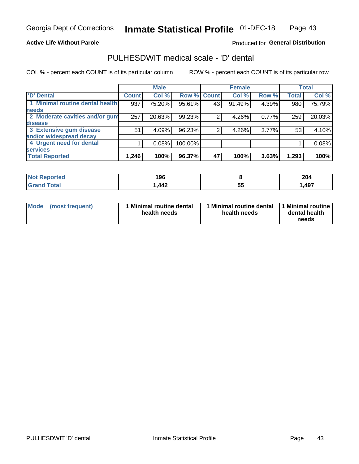### **Active Life Without Parole**

### Produced for General Distribution

## PULHESDWIT medical scale - 'D' dental

COL % - percent each COUNT is of its particular column

|                                 |              | <b>Male</b> |         |              | <b>Female</b> |          |              | <b>Total</b> |
|---------------------------------|--------------|-------------|---------|--------------|---------------|----------|--------------|--------------|
| <b>D'</b> Dental                | <b>Count</b> | Col %       | Row %   | <b>Count</b> | Col %         | Row %    | <b>Total</b> | Col %        |
| 1 Minimal routine dental health | 937          | 75.20%      | 95.61%  | 43           | 91.49%        | 4.39%    | 980          | 75.79%       |
| <b>needs</b>                    |              |             |         |              |               |          |              |              |
| 2 Moderate cavities and/or gum  | 257          | 20.63%      | 99.23%  |              | 4.26%         | 0.77%    | 259          | 20.03%       |
| disease                         |              |             |         |              |               |          |              |              |
| 3 Extensive gum disease         | 51           | 4.09%       | 96.23%  |              | 4.26%         | $3.77\%$ | 53           | 4.10%        |
| and/or widespread decay         |              |             |         |              |               |          |              |              |
| 4 Urgent need for dental        |              | 0.08%       | 100.00% |              |               |          |              | 0.08%        |
| <b>services</b>                 |              |             |         |              |               |          |              |              |
| <b>Total Reported</b>           | 1,246        | 100%        | 96.37%  | 47           | 100%          | 3.63%    | 1,293        | 100%         |

| <b>Not Reported</b> | 1 ሰ ድ<br>טיפ |          | 204  |
|---------------------|--------------|----------|------|
| Total               | ,442         | --<br>ວະ | ,497 |

| <b>Mode</b> | (most frequent) | <b>Minimal routine dental</b><br>health needs | 1 Minimal routine dental   1 Minimal routine  <br>health needs | dental health<br>needs |
|-------------|-----------------|-----------------------------------------------|----------------------------------------------------------------|------------------------|
|-------------|-----------------|-----------------------------------------------|----------------------------------------------------------------|------------------------|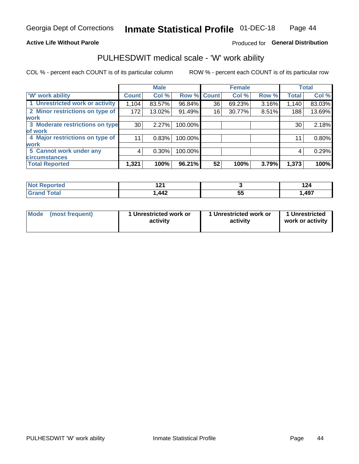### **Active Life Without Parole**

### Produced for General Distribution

### PULHESDWIT medical scale - 'W' work ability

COL % - percent each COUNT is of its particular column

|                                 |                    | <b>Male</b> |         |             | <b>Female</b> |       |              | <b>Total</b> |
|---------------------------------|--------------------|-------------|---------|-------------|---------------|-------|--------------|--------------|
| <b>W' work ability</b>          | Count <sup>'</sup> | Col %       |         | Row % Count | Col %         | Row % | <b>Total</b> | Col %        |
| 1 Unrestricted work or activity | 1,104              | 83.57%      | 96.84%  | 36          | 69.23%        | 3.16% | 1,140        | 83.03%       |
| 2 Minor restrictions on type of | 172                | 13.02%      | 91.49%  | 16          | 30.77%        | 8.51% | 188          | 13.69%       |
| <b>work</b>                     |                    |             |         |             |               |       |              |              |
| 3 Moderate restrictions on type | 30                 | 2.27%       | 100.00% |             |               |       | 30           | 2.18%        |
| lof work                        |                    |             |         |             |               |       |              |              |
| 4 Major restrictions on type of | 11                 | 0.83%       | 100.00% |             |               |       | 11           | 0.80%        |
| <b>work</b>                     |                    |             |         |             |               |       |              |              |
| 5 Cannot work under any         | 4                  | $0.30\%$    | 100.00% |             |               |       | 4            | 0.29%        |
| <b>circumstances</b>            |                    |             |         |             |               |       |              |              |
| <b>Total Reported</b>           | 1,321              | 100%        | 96.21%  | 52          | 100%          | 3.79% | 1,373        | 100%         |

| <b>Ported</b><br><b>NOT</b> | 194<br>.   |     | 144   |
|-----------------------------|------------|-----|-------|
| <b>Total</b>                | <b>AA2</b> | --  | 1,497 |
| <b>Common</b>               | 77£        | JJ. |       |

| Mode (most frequent) | 1 Unrestricted work or | 1 Unrestricted work or | 1 Unrestricted   |
|----------------------|------------------------|------------------------|------------------|
|                      | activity               | activity               | work or activity |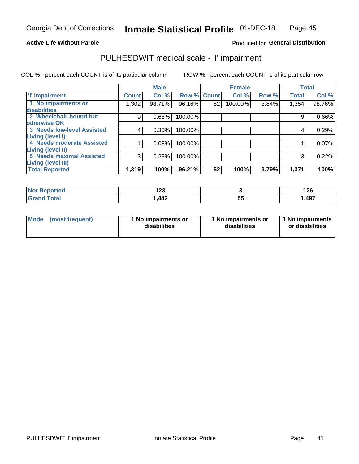### **Active Life Without Parole**

### Produced for General Distribution

## PULHESDWIT medical scale - 'I' impairment

COL % - percent each COUNT is of its particular column ROW % - percent each COUNT is of its particular row

|                                                              |              | <b>Male</b> |             |    | <b>Female</b> |       |              | <b>Total</b> |
|--------------------------------------------------------------|--------------|-------------|-------------|----|---------------|-------|--------------|--------------|
| <b>T' Impairment</b>                                         | <b>Count</b> | Col %       | Row % Count |    | Col %         | Row % | <b>Total</b> | Col %        |
| 1 No impairments or<br>disabilities                          | 1,302        | 98.71%      | 96.16%      | 52 | 100.00%       | 3.84% | 1,354        | 98.76%       |
| 2 Wheelchair-bound but                                       | 9            | 0.68%       | 100.00%     |    |               |       | 9            | 0.66%        |
| otherwise OK<br><b>3 Needs low-level Assisted</b>            | 4            | 0.30%       | 100.00%     |    |               |       | 4            | 0.29%        |
| Living (level I)<br>4 Needs moderate Assisted                |              | 0.08%       | 100.00%     |    |               |       |              | 0.07%        |
| Living (level II)                                            |              |             |             |    |               |       |              |              |
| <b>5 Needs maximal Assisted</b><br><b>Living (level III)</b> | 3            | 0.23%       | 100.00%     |    |               |       | 3            | 0.22%        |
| <b>Total Reported</b>                                        | 1,319        | 100%        | 96.21%      | 52 | 100%          | 3.79% | 1,371        | 100%         |

| วrted | ה הו<br>14J |          | 126  |
|-------|-------------|----------|------|
|       | ,442        | --<br>JJ | ,497 |

| Mode | (most frequent) | 1 No impairments or<br>disabilities | 1 No impairments or<br>disabilities | 1 No impairments<br>or disabilities |
|------|-----------------|-------------------------------------|-------------------------------------|-------------------------------------|
|------|-----------------|-------------------------------------|-------------------------------------|-------------------------------------|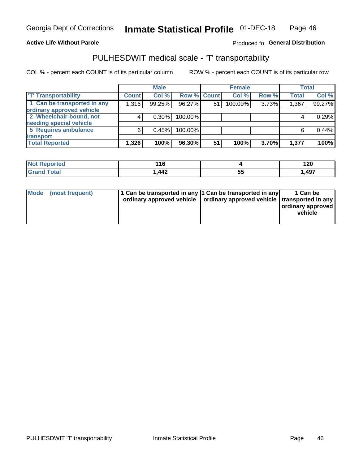### **Active Life Without Parole**

### Produced fo General Distribution

## PULHESDWIT medical scale - 'T' transportability

COL % - percent each COUNT is of its particular column

|                             |              | <b>Male</b> |             |    | <b>Female</b> |       |              | <b>Total</b> |
|-----------------------------|--------------|-------------|-------------|----|---------------|-------|--------------|--------------|
| <b>T' Transportability</b>  | <b>Count</b> | Col %       | Row % Count |    | Col %         | Row % | <b>Total</b> | Col %        |
| 1 Can be transported in any | 1,316        | 99.25%      | 96.27%      | 51 | 100.00%       | 3.73% | 1,367        | 99.27%       |
| ordinary approved vehicle   |              |             |             |    |               |       |              |              |
| 2 Wheelchair-bound, not     |              | $0.30\%$    | 100.00%     |    |               |       |              | 0.29%        |
| needing special vehicle     |              |             |             |    |               |       |              |              |
| 5 Requires ambulance        | 6            | 0.45%       | 100.00%     |    |               |       |              | 0.44%        |
| transport                   |              |             |             |    |               |       |              |              |
| <b>Total Reported</b>       | 1,326        | 100%        | 96.30%      | 51 | 100%          | 3.70% | 1,377        | 100%         |

| eported | 44C<br>- 10 |          | 120  |
|---------|-------------|----------|------|
| otal    | ,442        | --<br>JJ | ,497 |

| Mode (most frequent) | 1 Can be transported in any 1 Can be transported in any | ordinary approved vehicle   ordinary approved vehicle   transported in any | 1 Can be<br>ordinary approved<br>vehicle |
|----------------------|---------------------------------------------------------|----------------------------------------------------------------------------|------------------------------------------|
|                      |                                                         |                                                                            |                                          |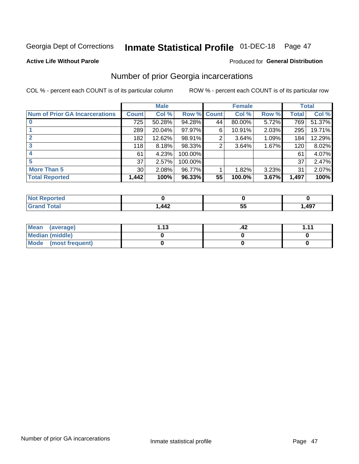# Inmate Statistical Profile 01-DEC-18 Page 47

#### **Active Life Without Parole**

### Produced for General Distribution

### Number of prior Georgia incarcerations

COL % - percent each COUNT is of its particular column

|                                       |       | <b>Male</b> |             |    | <b>Female</b> |       |       | <b>Total</b> |
|---------------------------------------|-------|-------------|-------------|----|---------------|-------|-------|--------------|
| <b>Num of Prior GA Incarcerations</b> | Count | Col %       | Row % Count |    | Col %         | Row % | Total | Col %        |
|                                       | 725   | 50.28%      | 94.28%      | 44 | 80.00%        | 5.72% | 769   | 51.37%       |
|                                       | 289   | 20.04%      | $97.97\%$   | 6  | 10.91%        | 2.03% | 295   | 19.71%       |
|                                       | 182   | 12.62%      | 98.91%      | 2  | 3.64%         | 1.09% | 184   | 12.29%       |
| 3                                     | 118   | 8.18%       | 98.33%      | 2  | 3.64%         | 1.67% | 120   | 8.02%        |
| 4                                     | 61    | 4.23%       | 100.00%     |    |               |       | 61    | 4.07%        |
| 5                                     | 37    | 2.57%       | 100.00%     |    |               |       | 37    | 2.47%        |
| <b>More Than 5</b>                    | 30    | 2.08%       | 96.77%      |    | 1.82%         | 3.23% | 31    | 2.07%        |
| <b>Total Reported</b>                 | 1,442 | 100%        | 96.33%      | 55 | 100.0%        | 3.67% | 1,497 | 100%         |

| orteo                           |                             |          |      |
|---------------------------------|-----------------------------|----------|------|
| <b>otal</b><br>$\mathbf{v}$ and | $\overline{a}$<br>''<br>┭┭∠ | . .<br>ູ | ,497 |

| Mean (average)       | 1 1 2 | .42 | 444 |
|----------------------|-------|-----|-----|
| Median (middle)      |       |     |     |
| Mode (most frequent) |       |     |     |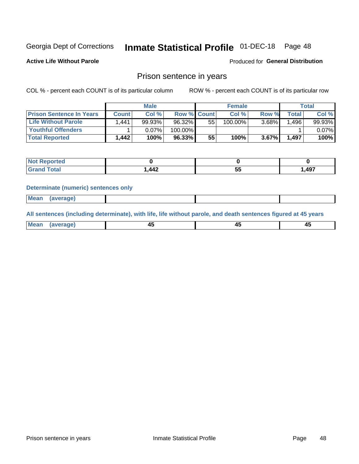# Inmate Statistical Profile 01-DEC-18 Page 48

**Active Life Without Parole** 

Produced for General Distribution

### Prison sentence in years

COL % - percent each COUNT is of its particular column

ROW % - percent each COUNT is of its particular row

|                                 | <b>Male</b> |        |                    |    | <b>Female</b> | Total    |             |        |
|---------------------------------|-------------|--------|--------------------|----|---------------|----------|-------------|--------|
| <b>Prison Sentence In Years</b> | Count l     | Col %  | <b>Row % Count</b> |    | Col %         | Row %    | $\tau$ otal | Col %  |
| <b>Life Without Parole</b>      | .441        | 99.93% | 96.32%             | 55 | $100.00\%$    | $3.68\%$ | .496        | 99.93% |
| <b>Youthful Offenders</b>       |             | 0.07%  | 100.00%            |    |               |          |             | 0.07%  |
| <b>Total Reported</b>           | 1.442       | 100%   | 96.33%             | 55 | 100%          | $3.67\%$ | 1,497       | 100%   |

| Reported<br>NOT |      |   |      |
|-----------------|------|---|------|
| <b>Total</b>    | ,442 | w | ,497 |

#### **Determinate (numeric) sentences only**

| Mean<br><b>CANG</b> |         |  |  |
|---------------------|---------|--|--|
|                     | 1112211 |  |  |

All sentences (including determinate), with life, life without parole, and death sentences figured at 45 years

| l Mea<br>rane.<br> | г.<br>$\sim$ | $\overline{\phantom{a}}$ | −~<br>$\overline{\phantom{0}}$ |
|--------------------|--------------|--------------------------|--------------------------------|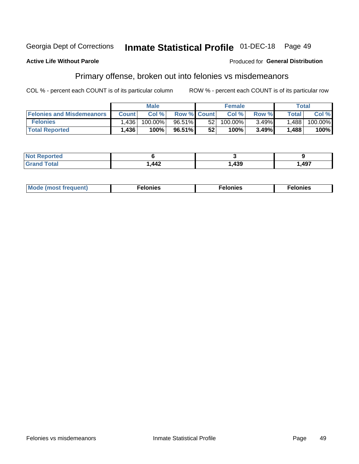#### Inmate Statistical Profile 01-DEC-18 Georgia Dept of Corrections Page 49

#### **Active Life Without Parole**

#### Produced for General Distribution

### Primary offense, broken out into felonies vs misdemeanors

COL % - percent each COUNT is of its particular column

|                                  | <b>Male</b>  |         |                    | <b>Female</b>   |         |          | Total        |         |
|----------------------------------|--------------|---------|--------------------|-----------------|---------|----------|--------------|---------|
| <b>Felonies and Misdemeanors</b> | <b>Count</b> | Col%    | <b>Row % Count</b> |                 | Col%    | Row %    | <b>Total</b> | Col %   |
| <b>Felonies</b>                  | ∫436.        | 100.00% | 96.51%             | 521             | 100.00% | $3.49\%$ | 1,488        | 100.00% |
| <b>Total Reported</b>            | 1,436        | $100\%$ | 96.51%             | 52 <sub>1</sub> | 100%    | 3.49%    | 1,488        | 100%    |

| <b>Not Reported</b>          |                   |     |        |
|------------------------------|-------------------|-----|--------|
| <b>Total</b><br>Grand<br>uuu | <b>AA2</b><br>774 | 439 | 497, ا |

| $Mc$<br>equent)<br>нез<br>$\sim$<br>. | onies<br>. | <b>onies</b><br>. |
|---------------------------------------|------------|-------------------|
|---------------------------------------|------------|-------------------|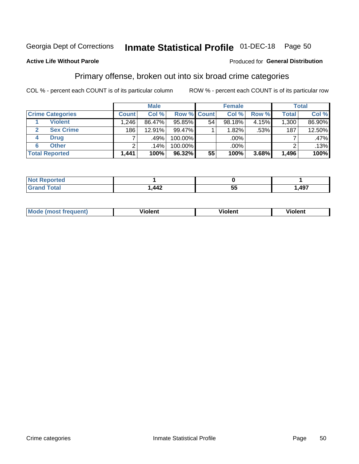#### Inmate Statistical Profile 01-DEC-18 Page 50

### **Active Life Without Parole**

#### Produced for General Distribution

### Primary offense, broken out into six broad crime categories

COL % - percent each COUNT is of its particular column

|                         | <b>Male</b>  |                  |           |                    | <b>Female</b> |       | <b>Total</b> |        |
|-------------------------|--------------|------------------|-----------|--------------------|---------------|-------|--------------|--------|
| <b>Crime Categories</b> | <b>Count</b> | Col %            |           | <b>Row % Count</b> | Col %         | Row % | <b>Total</b> | Col %  |
| <b>Violent</b>          | 1,246        | 86.47%           | 95.85%    | 54                 | 98.18%        | 4.15% | 1,300        | 86.90% |
| <b>Sex Crime</b>        | 186          | 12.91%           | 99.47%    |                    | 1.82%         | .53%  | 187          | 12.50% |
| <b>Drug</b><br>4        | 7            | .49%             | 100.00%   |                    | .00%          |       |              | .47%   |
| <b>Other</b><br>6       | 2            | .14% $^{\prime}$ | 100.00%   |                    | .00%          |       | ົ            | .13%   |
| <b>Total Reported</b>   | 1,441        | 100%             | $96.32\%$ | 55                 | 100%          | 3.68% | 1,496        | 100%   |

| τeα<br>11VL1 |     |     |       |
|--------------|-----|-----|-------|
| <b>Total</b> | AA2 | --  | . 497 |
|              | --- | JJ. | ு.    |

| <b>Mode (most frequent)</b> |         |                | --             |
|-----------------------------|---------|----------------|----------------|
|                             | violent | <b>Violent</b> | <b>Violent</b> |
|                             |         |                |                |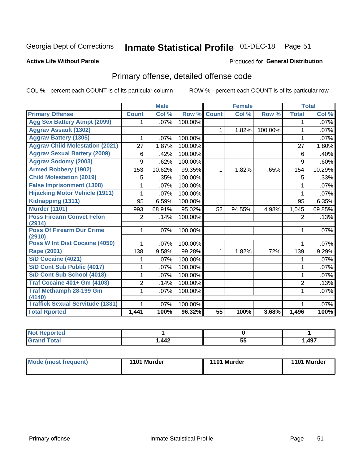#### Inmate Statistical Profile 01-DEC-18 Page 51

#### **Active Life Without Parole**

#### **Produced for General Distribution**

## Primary offense, detailed offense code

COL % - percent each COUNT is of its particular column

|                                            |                | <b>Male</b> |         |                 | <b>Female</b> |         |                | <b>Total</b> |
|--------------------------------------------|----------------|-------------|---------|-----------------|---------------|---------|----------------|--------------|
| <b>Primary Offense</b>                     | <b>Count</b>   | Col %       | Row %   | <b>Count</b>    | Col %         | Row %   | <b>Total</b>   | Col %        |
| <b>Agg Sex Battery Atmpt (2099)</b>        |                | .07%        | 100.00% |                 |               |         | 1              | $.07\%$      |
| <b>Aggrav Assault (1302)</b>               |                |             |         | $\mathbf{1}$    | 1.82%         | 100.00% | 1              | .07%         |
| <b>Aggrav Battery (1305)</b>               | 1              | .07%        | 100.00% |                 |               |         | 1              | .07%         |
| <b>Aggrav Child Molestation (2021)</b>     | 27             | 1.87%       | 100.00% |                 |               |         | 27             | 1.80%        |
| <b>Aggrav Sexual Battery (2009)</b>        | 6              | .42%        | 100.00% |                 |               |         | 6              | .40%         |
| <b>Aggrav Sodomy (2003)</b>                | 9              | .62%        | 100.00% |                 |               |         | 9              | .60%         |
| <b>Armed Robbery (1902)</b>                | 153            | 10.62%      | 99.35%  | $\mathbf{1}$    | 1.82%         | .65%    | 154            | 10.29%       |
| <b>Child Molestation (2019)</b>            | 5              | .35%        | 100.00% |                 |               |         | 5              | .33%         |
| <b>False Imprisonment (1308)</b>           |                | .07%        | 100.00% |                 |               |         |                | $.07\%$      |
| <b>Hijacking Motor Vehicle (1911)</b>      |                | .07%        | 100.00% |                 |               |         | 1              | .07%         |
| Kidnapping (1311)                          | 95             | 6.59%       | 100.00% |                 |               |         | 95             | 6.35%        |
| <b>Murder (1101)</b>                       | 993            | 68.91%      | 95.02%  | 52              | 94.55%        | 4.98%   | 1,045          | 69.85%       |
| <b>Poss Firearm Convct Felon</b>           | $\overline{2}$ | .14%        | 100.00% |                 |               |         | $\overline{2}$ | .13%         |
| (2914)                                     |                |             |         |                 |               |         |                |              |
| <b>Poss Of Firearm Dur Crime</b><br>(2910) | 1              | .07%        | 100.00% |                 |               |         | 1              | .07%         |
| Poss W Int Dist Cocaine (4050)             |                | .07%        | 100.00% |                 |               |         |                | $.07\%$      |
| <b>Rape (2001)</b>                         | 138            | 9.58%       | 99.28%  | $\mathbf{1}$    | 1.82%         | .72%    | 139            | 9.29%        |
| S/D Cocaine (4021)                         |                | .07%        | 100.00% |                 |               |         | 1              | .07%         |
| S/D Cont Sub Public (4017)                 |                | .07%        | 100.00% |                 |               |         | 1              | $.07\%$      |
| S/D Cont Sub School (4018)                 |                | .07%        | 100.00% |                 |               |         | 1              | $.07\%$      |
| <b>Traf Cocaine 401+ Gm (4103)</b>         | 2              | .14%        | 100.00% |                 |               |         | $\overline{2}$ | .13%         |
| <b>Traf Methamph 28-199 Gm</b>             | 1              | .07%        | 100.00% |                 |               |         | 1              | .07%         |
| (4140)                                     |                |             |         |                 |               |         |                |              |
| <b>Traffick Sexual Servitude (1331)</b>    |                | .07%        | 100.00% |                 |               |         |                | .07%         |
| <b>Total Rported</b>                       | 1,441          | 100%        | 96.32%  | $\overline{55}$ | 100%          | 3.68%   | 1,496          | 100%         |

| 'N (<br>oortea |     |    |      |
|----------------|-----|----|------|
| υιαι           | 442 | 5t | ,497 |

| Mode (most frequent) | 1101 Murder | 1101 Murder | 1101 Murder |
|----------------------|-------------|-------------|-------------|
|                      |             |             |             |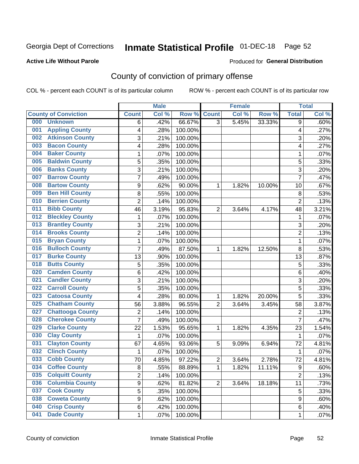## Inmate Statistical Profile 01-DEC-18 Page 52

### **Active Life Without Parole**

#### Produced for General Distribution

## County of conviction of primary offense

COL % - percent each COUNT is of its particular column

|                                |                  | <b>Male</b> |         |                | <b>Female</b> |           |                | <b>Total</b> |
|--------------------------------|------------------|-------------|---------|----------------|---------------|-----------|----------------|--------------|
| <b>County of Conviction</b>    | <b>Count</b>     | Col%        | Row %   | <b>Count</b>   | Col %         | Row %     | <b>Total</b>   | Col %        |
| 000<br><b>Unknown</b>          | 6                | .42%        | 66.67%  | $\overline{3}$ | 5.45%         | 33.33%    | $\overline{9}$ | .60%         |
| <b>Appling County</b><br>001   | 4                | .28%        | 100.00% |                |               |           | 4              | .27%         |
| <b>Atkinson County</b><br>002  | 3                | .21%        | 100.00% |                |               |           | 3              | .20%         |
| <b>Bacon County</b><br>003     | 4                | .28%        | 100.00% |                |               |           | 4              | .27%         |
| <b>Baker County</b><br>004     | 1                | .07%        | 100.00% |                |               |           | 1              | .07%         |
| <b>Baldwin County</b><br>005   | 5                | .35%        | 100.00% |                |               |           | 5              | .33%         |
| <b>Banks County</b><br>006     | 3                | .21%        | 100.00% |                |               |           | 3              | .20%         |
| <b>Barrow County</b><br>007    | $\overline{7}$   | .49%        | 100.00% |                |               |           | $\overline{7}$ | .47%         |
| <b>Bartow County</b><br>008    | 9                | .62%        | 90.00%  | 1              | 1.82%         | 10.00%    | 10             | .67%         |
| <b>Ben Hill County</b><br>009  | 8                | .55%        | 100.00% |                |               |           | 8              | .53%         |
| <b>Berrien County</b><br>010   | $\overline{c}$   | .14%        | 100.00% |                |               |           | $\overline{c}$ | .13%         |
| <b>Bibb County</b><br>011      | 46               | 3.19%       | 95.83%  | $\overline{2}$ | 3.64%         | 4.17%     | 48             | 3.21%        |
| <b>Bleckley County</b><br>012  | 1                | .07%        | 100.00% |                |               |           | $\mathbf{1}$   | .07%         |
| <b>Brantley County</b><br>013  | 3                | .21%        | 100.00% |                |               |           | 3              | .20%         |
| <b>Brooks County</b><br>014    | $\overline{c}$   | .14%        | 100.00% |                |               |           | 2              | .13%         |
| <b>Bryan County</b><br>015     | 1                | .07%        | 100.00% |                |               |           | $\mathbf{1}$   | .07%         |
| <b>Bulloch County</b><br>016   | $\overline{7}$   | .49%        | 87.50%  | 1              | 1.82%         | 12.50%    | 8              | .53%         |
| <b>Burke County</b><br>017     | 13               | .90%        | 100.00% |                |               |           | 13             | .87%         |
| <b>Butts County</b><br>018     | 5                | .35%        | 100.00% |                |               |           | 5              | .33%         |
| <b>Camden County</b><br>020    | 6                | .42%        | 100.00% |                |               |           | 6              | .40%         |
| <b>Candler County</b><br>021   | 3                | .21%        | 100.00% |                |               |           | 3              | .20%         |
| <b>Carroll County</b><br>022   | 5                | .35%        | 100.00% |                |               |           | 5              | .33%         |
| <b>Catoosa County</b><br>023   | 4                | .28%        | 80.00%  | 1              | 1.82%         | 20.00%    | 5              | .33%         |
| <b>Chatham County</b><br>025   | 56               | 3.88%       | 96.55%  | $\overline{2}$ | 3.64%         | 3.45%     | 58             | 3.87%        |
| <b>Chattooga County</b><br>027 | $\overline{c}$   | .14%        | 100.00% |                |               |           | $\overline{2}$ | .13%         |
| <b>Cherokee County</b><br>028  | $\overline{7}$   | .49%        | 100.00% |                |               |           | $\overline{7}$ | .47%         |
| <b>Clarke County</b><br>029    | 22               | 1.53%       | 95.65%  | 1              | 1.82%         | 4.35%     | 23             | 1.54%        |
| <b>Clay County</b><br>030      | 1                | .07%        | 100.00% |                |               |           | 1              | .07%         |
| <b>Clayton County</b><br>031   | 67               | 4.65%       | 93.06%  | 5              | 9.09%         | 6.94%     | 72             | 4.81%        |
| <b>Clinch County</b><br>032    | $\mathbf{1}$     | .07%        | 100.00% |                |               |           | $\mathbf 1$    | .07%         |
| <b>Cobb County</b><br>033      | 70               | 4.85%       | 97.22%  | $\overline{2}$ | 3.64%         | 2.78%     | 72             | 4.81%        |
| <b>Coffee County</b><br>034    | 8                | .55%        | 88.89%  | 1              | 1.82%         | $11.11\%$ | 9              | .60%         |
| <b>Colquitt County</b><br>035  | 2                | .14%        | 100.00% |                |               |           | $\overline{2}$ | .13%         |
| <b>Columbia County</b><br>036  | 9                | .62%        | 81.82%  | $\overline{2}$ | 3.64%         | 18.18%    | 11             | .73%         |
| <b>Cook County</b><br>037      | 5                | .35%        | 100.00% |                |               |           | 5              | .33%         |
| <b>Coweta County</b><br>038    | $\boldsymbol{9}$ | .62%        | 100.00% |                |               |           | 9              | .60%         |
| <b>Crisp County</b><br>040     | 6                | .42%        | 100.00% |                |               |           | 6              | .40%         |
| <b>Dade County</b><br>041      | 1                | .07%        | 100.00% |                |               |           | 1              | .07%         |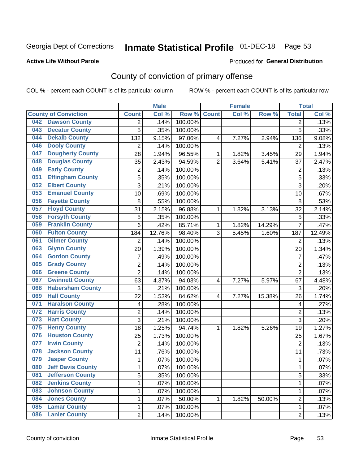## Inmate Statistical Profile 01-DEC-18 Page 53

### **Active Life Without Parole**

#### Produced for General Distribution

## County of conviction of primary offense

COL % - percent each COUNT is of its particular column

|                                 |                         |                | <b>Male</b> |         |                | <b>Female</b> |        |                | <b>Total</b> |
|---------------------------------|-------------------------|----------------|-------------|---------|----------------|---------------|--------|----------------|--------------|
| <b>County of Conviction</b>     |                         | <b>Count</b>   | Col %       | Row %   | <b>Count</b>   | Col%          | Row %  | <b>Total</b>   | Col %        |
| <b>Dawson County</b><br>042     |                         | 2              | .14%        | 100.00% |                |               |        | 2              | .13%         |
| <b>Decatur County</b><br>043    |                         | 5              | .35%        | 100.00% |                |               |        | 5              | .33%         |
| <b>Dekalb County</b><br>044     |                         | 132            | 9.15%       | 97.06%  | 4              | 7.27%         | 2.94%  | 136            | 9.08%        |
| <b>Dooly County</b><br>046      |                         | $\overline{2}$ | .14%        | 100.00% |                |               |        | 2              | .13%         |
| <b>Dougherty County</b><br>047  |                         | 28             | 1.94%       | 96.55%  | $\mathbf{1}$   | 1.82%         | 3.45%  | 29             | 1.94%        |
| <b>Douglas County</b><br>048    |                         | 35             | 2.43%       | 94.59%  | $\overline{2}$ | 3.64%         | 5.41%  | 37             | 2.47%        |
| <b>Early County</b><br>049      |                         | $\overline{c}$ | .14%        | 100.00% |                |               |        | $\overline{2}$ | .13%         |
| <b>Effingham County</b><br>051  |                         | 5              | .35%        | 100.00% |                |               |        | 5              | .33%         |
| <b>Elbert County</b><br>052     |                         | 3              | .21%        | 100.00% |                |               |        | 3              | .20%         |
| <b>Emanuel County</b><br>053    |                         | 10             | .69%        | 100.00% |                |               |        | 10             | .67%         |
| <b>Fayette County</b><br>056    |                         | 8              | .55%        | 100.00% |                |               |        | 8              | .53%         |
| <b>Floyd County</b><br>057      |                         | 31             | 2.15%       | 96.88%  | 1              | 1.82%         | 3.13%  | 32             | 2.14%        |
| <b>Forsyth County</b><br>058    |                         | 5              | .35%        | 100.00% |                |               |        | 5              | .33%         |
| <b>Franklin County</b><br>059   |                         | 6              | .42%        | 85.71%  | 1              | 1.82%         | 14.29% | $\overline{7}$ | .47%         |
| <b>Fulton County</b><br>060     |                         | 184            | 12.76%      | 98.40%  | 3              | 5.45%         | 1.60%  | 187            | 12.49%       |
| <b>Gilmer County</b><br>061     |                         | $\overline{2}$ | .14%        | 100.00% |                |               |        | 2              | .13%         |
| <b>Glynn County</b><br>063      |                         | 20             | 1.39%       | 100.00% |                |               |        | 20             | 1.34%        |
| <b>Gordon County</b><br>064     |                         | $\overline{7}$ | .49%        | 100.00% |                |               |        | $\overline{7}$ | .47%         |
| <b>Grady County</b><br>065      |                         | $\overline{2}$ | .14%        | 100.00% |                |               |        | $\overline{2}$ | .13%         |
| <b>Greene County</b><br>066     |                         | $\overline{2}$ | .14%        | 100.00% |                |               |        | $\overline{2}$ | .13%         |
| <b>Gwinnett County</b><br>067   |                         | 63             | 4.37%       | 94.03%  | 4              | 7.27%         | 5.97%  | 67             | 4.48%        |
| 068                             | <b>Habersham County</b> | 3              | .21%        | 100.00% |                |               |        | 3              | .20%         |
| <b>Hall County</b><br>069       |                         | 22             | 1.53%       | 84.62%  | 4              | 7.27%         | 15.38% | 26             | 1.74%        |
| <b>Haralson County</b><br>071   |                         | 4              | .28%        | 100.00% |                |               |        | 4              | .27%         |
| <b>Harris County</b><br>072     |                         | 2              | .14%        | 100.00% |                |               |        | $\overline{2}$ | .13%         |
| <b>Hart County</b><br>073       |                         | 3              | .21%        | 100.00% |                |               |        | 3              | .20%         |
| <b>Henry County</b><br>075      |                         | 18             | 1.25%       | 94.74%  | 1              | 1.82%         | 5.26%  | 19             | 1.27%        |
| <b>Houston County</b><br>076    |                         | 25             | 1.73%       | 100.00% |                |               |        | 25             | 1.67%        |
| <b>Irwin County</b><br>077      |                         | $\overline{2}$ | .14%        | 100.00% |                |               |        | $\overline{2}$ | .13%         |
| <b>Jackson County</b><br>078    |                         | 11             | .76%        | 100.00% |                |               |        | 11             | .73%         |
| <b>Jasper County</b><br>079     |                         | $\mathbf{1}$   | .07%        | 100.00% |                |               |        | 1              | .07%         |
| <b>Jeff Davis County</b><br>080 |                         | 1              | .07%        | 100.00% |                |               |        | 1              | $.07\%$      |
| <b>Jefferson County</b><br>081  |                         | 5              | .35%        | 100.00% |                |               |        | 5              | .33%         |
| <b>Jenkins County</b><br>082    |                         | 1              | .07%        | 100.00% |                |               |        | $\mathbf 1$    | .07%         |
| <b>Johnson County</b><br>083    |                         | 1              | .07%        | 100.00% |                |               |        | 1              | .07%         |
| <b>Jones County</b><br>084      |                         | 1              | .07%        | 50.00%  | 1              | 1.82%         | 50.00% | $\overline{2}$ | .13%         |
| <b>Lamar County</b><br>085      |                         | 1              | .07%        | 100.00% |                |               |        | $\mathbf 1$    | .07%         |
| <b>Lanier County</b><br>086     |                         | $\overline{2}$ | .14%        | 100.00% |                |               |        | $\overline{2}$ | .13%         |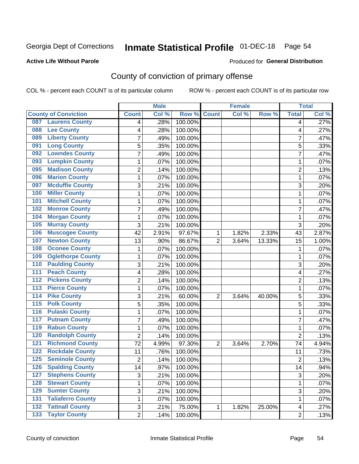## Inmate Statistical Profile 01-DEC-18 Page 54

### **Active Life Without Parole**

#### Produced for General Distribution

## County of conviction of primary offense

COL % - percent each COUNT is of its particular column

|                                           |                | <b>Male</b> |         |                | <b>Female</b> |        |                | <b>Total</b> |
|-------------------------------------------|----------------|-------------|---------|----------------|---------------|--------|----------------|--------------|
| <b>County of Conviction</b>               | <b>Count</b>   | Col %       | Row %   | <b>Count</b>   | Col %         | Row %  | <b>Total</b>   | Col %        |
| <b>Laurens County</b><br>087              | 4              | .28%        | 100.00% |                |               |        | 4              | .27%         |
| <b>Lee County</b><br>088                  | 4              | .28%        | 100.00% |                |               |        | 4              | .27%         |
| <b>Liberty County</b><br>089              | 7              | .49%        | 100.00% |                |               |        | $\overline{7}$ | .47%         |
| <b>Long County</b><br>091                 | 5              | .35%        | 100.00% |                |               |        | 5              | .33%         |
| <b>Lowndes County</b><br>092              | 7              | .49%        | 100.00% |                |               |        | $\overline{7}$ | .47%         |
| <b>Lumpkin County</b><br>093              | 1              | .07%        | 100.00% |                |               |        | $\mathbf{1}$   | .07%         |
| <b>Madison County</b><br>095              | $\overline{c}$ | .14%        | 100.00% |                |               |        | $\overline{2}$ | .13%         |
| <b>Marion County</b><br>096               | 1              | .07%        | 100.00% |                |               |        | $\mathbf{1}$   | .07%         |
| <b>Mcduffie County</b><br>097             | 3              | .21%        | 100.00% |                |               |        | 3              | .20%         |
| <b>Miller County</b><br>100               | 1              | .07%        | 100.00% |                |               |        | $\mathbf{1}$   | .07%         |
| <b>Mitchell County</b><br>101             | 1              | .07%        | 100.00% |                |               |        | 1              | .07%         |
| <b>Monroe County</b><br>102               | 7              | .49%        | 100.00% |                |               |        | 7              | .47%         |
| <b>Morgan County</b><br>104               | 1              | .07%        | 100.00% |                |               |        | 1              | .07%         |
| <b>Murray County</b><br>105               | 3              | .21%        | 100.00% |                |               |        | 3              | .20%         |
| <b>Muscogee County</b><br>106             | 42             | 2.91%       | 97.67%  | 1              | 1.82%         | 2.33%  | 43             | 2.87%        |
| <b>Newton County</b><br>107               | 13             | .90%        | 86.67%  | $\overline{2}$ | 3.64%         | 13.33% | 15             | 1.00%        |
| <b>Oconee County</b><br>108               | 1              | .07%        | 100.00% |                |               |        | 1              | .07%         |
| <b>Oglethorpe County</b><br>109           | 1              | .07%        | 100.00% |                |               |        | $\mathbf{1}$   | .07%         |
| <b>Paulding County</b><br>110             | 3              | .21%        | 100.00% |                |               |        | 3              | .20%         |
| <b>Peach County</b><br>111                | 4              | .28%        | 100.00% |                |               |        | 4              | .27%         |
| <b>Pickens County</b><br>$\overline{112}$ | 2              | .14%        | 100.00% |                |               |        | $\overline{2}$ | .13%         |
| <b>Pierce County</b><br>113               | 1              | .07%        | 100.00% |                |               |        | $\mathbf{1}$   | .07%         |
| <b>Pike County</b><br>114                 | 3              | .21%        | 60.00%  | $\overline{2}$ | 3.64%         | 40.00% | 5              | .33%         |
| 115<br><b>Polk County</b>                 | 5              | .35%        | 100.00% |                |               |        | 5              | .33%         |
| <b>Pulaski County</b><br>116              | 1              | .07%        | 100.00% |                |               |        | 1              | .07%         |
| <b>Putnam County</b><br>117               | 7              | .49%        | 100.00% |                |               |        | 7              | .47%         |
| <b>Rabun County</b><br>119                | 1              | .07%        | 100.00% |                |               |        | $\mathbf{1}$   | .07%         |
| <b>Randolph County</b><br>120             | $\overline{2}$ | .14%        | 100.00% |                |               |        | $\overline{2}$ | .13%         |
| <b>Richmond County</b><br>121             | 72             | 4.99%       | 97.30%  | $\overline{2}$ | 3.64%         | 2.70%  | 74             | 4.94%        |
| <b>Rockdale County</b><br>122             | 11             | .76%        | 100.00% |                |               |        | 11             | .73%         |
| <b>Seminole County</b><br>125             | 2              | .14%        | 100.00% |                |               |        | $\overline{2}$ | .13%         |
| 126<br><b>Spalding County</b>             | 14             | .97%        | 100.00% |                |               |        | 14             | .94%         |
| <b>Stephens County</b><br>127             | 3              | .21%        | 100.00% |                |               |        | 3              | .20%         |
| <b>Stewart County</b><br>128              | 1              | .07%        | 100.00% |                |               |        | $\mathbf{1}$   | .07%         |
| <b>Sumter County</b><br>129               | 3              | .21%        | 100.00% |                |               |        | 3              | .20%         |
| <b>Taliaferro County</b><br>131           | 1              | .07%        | 100.00% |                |               |        | 1              | .07%         |
| <b>Tattnall County</b><br>132             | 3              | .21%        | 75.00%  | 1              | 1.82%         | 25.00% | 4              | .27%         |
| <b>Taylor County</b><br>$\overline{133}$  | $\overline{2}$ | .14%        | 100.00% |                |               |        | $\overline{2}$ | .13%         |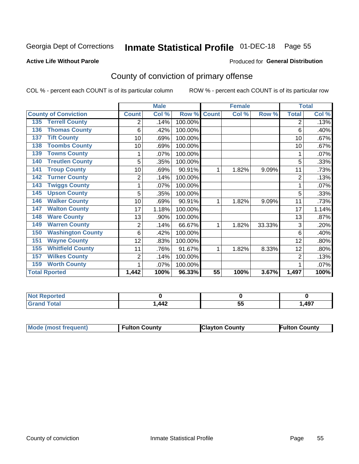## Inmate Statistical Profile 01-DEC-18 Page 55

#### **Active Life Without Parole**

#### Produced for General Distribution

## County of conviction of primary offense

COL % - percent each COUNT is of its particular column

|                                 |                | <b>Male</b> |         |              | <b>Female</b> |        |                | <b>Total</b> |
|---------------------------------|----------------|-------------|---------|--------------|---------------|--------|----------------|--------------|
| <b>County of Conviction</b>     | <b>Count</b>   | Col %       | Row %   | <b>Count</b> | Col %         | Row %  | <b>Total</b>   | Col %        |
| <b>Terrell County</b><br>135    | 2              | .14%        | 100.00% |              |               |        | 2              | .13%         |
| <b>Thomas County</b><br>136     | 6              | .42%        | 100.00% |              |               |        | 6              | .40%         |
| <b>Tift County</b><br>137       | 10             | .69%        | 100.00% |              |               |        | 10             | .67%         |
| <b>Toombs County</b><br>138     | 10             | .69%        | 100.00% |              |               |        | 10             | .67%         |
| <b>Towns County</b><br>139      | 1              | .07%        | 100.00% |              |               |        | 1              | .07%         |
| <b>Treutlen County</b><br>140   | 5              | .35%        | 100.00% |              |               |        | 5              | .33%         |
| <b>Troup County</b><br>141      | 10             | .69%        | 90.91%  | 1            | 1.82%         | 9.09%  | 11             | .73%         |
| <b>Turner County</b><br>142     | 2              | .14%        | 100.00% |              |               |        | $\overline{2}$ | .13%         |
| <b>Twiggs County</b><br>143     |                | .07%        | 100.00% |              |               |        |                | .07%         |
| <b>Upson County</b><br>145      | 5              | .35%        | 100.00% |              |               |        | 5              | .33%         |
| <b>Walker County</b><br>146     | 10             | .69%        | 90.91%  | 1            | 1.82%         | 9.09%  | 11             | .73%         |
| <b>Walton County</b><br>147     | 17             | 1.18%       | 100.00% |              |               |        | 17             | 1.14%        |
| <b>Ware County</b><br>148       | 13             | .90%        | 100.00% |              |               |        | 13             | .87%         |
| <b>Warren County</b><br>149     | $\overline{2}$ | .14%        | 66.67%  | 1            | 1.82%         | 33.33% | 3              | .20%         |
| <b>Washington County</b><br>150 | 6              | .42%        | 100.00% |              |               |        | 6              | .40%         |
| <b>Wayne County</b><br>151      | 12             | .83%        | 100.00% |              |               |        | 12             | .80%         |
| <b>Whitfield County</b><br>155  | 11             | .76%        | 91.67%  | 1            | 1.82%         | 8.33%  | 12             | .80%         |
| <b>Wilkes County</b><br>157     | 2              | .14%        | 100.00% |              |               |        | 2              | .13%         |
| <b>Worth County</b><br>159      | 1              | .07%        | 100.00% |              |               |        |                | .07%         |
| <b>Total Rported</b>            | 1,442          | 100%        | 96.33%  | 55           | 100%          | 3.67%  | 1,497          | 100%         |

| rteo        |    |    |      |
|-------------|----|----|------|
| $C = 4 - 7$ | AA | -- | ,497 |
| _____       |    | JJ |      |

| Mode (most frequent) | <b>Fulton County</b> | <b>Clayton County</b> | <b>Fulton County</b> |
|----------------------|----------------------|-----------------------|----------------------|
|                      |                      |                       |                      |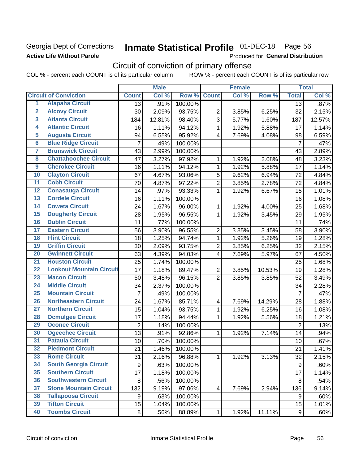### Georgia Dept of Corrections **Active Life Without Parole**

# Inmate Statistical Profile 01-DEC-18 Page 56

Produced for General Distribution

## Circuit of conviction of primary offense

COL % - percent each COUNT is of its particular column ROW % - percent each COUNT is of its particular row

|                         |                                 |                  | <b>Male</b> |         |                          | <b>Female</b> |        |                | <b>Total</b> |
|-------------------------|---------------------------------|------------------|-------------|---------|--------------------------|---------------|--------|----------------|--------------|
|                         | <b>Circuit of Conviction</b>    | <b>Count</b>     | Col %       | Row %   | <b>Count</b>             | Col %         | Row %  | <b>Total</b>   | Col %        |
| 1                       | <b>Alapaha Circuit</b>          | $\overline{13}$  | .91%        | 100.00% |                          |               |        | 13             | .87%         |
| $\overline{2}$          | <b>Alcovy Circuit</b>           | 30               | 2.09%       | 93.75%  | $\overline{2}$           | 3.85%         | 6.25%  | 32             | 2.15%        |
| $\overline{\mathbf{3}}$ | <b>Atlanta Circuit</b>          | 184              | 12.81%      | 98.40%  | 3                        | 5.77%         | 1.60%  | 187            | 12.57%       |
| 4                       | <b>Atlantic Circuit</b>         | 16               | 1.11%       | 94.12%  | $\mathbf 1$              | 1.92%         | 5.88%  | 17             | 1.14%        |
| $\overline{5}$          | <b>Augusta Circuit</b>          | 94               | 6.55%       | 95.92%  | $\overline{\mathcal{A}}$ | 7.69%         | 4.08%  | 98             | 6.59%        |
| $\overline{6}$          | <b>Blue Ridge Circuit</b>       | $\overline{7}$   | .49%        | 100.00% |                          |               |        | $\overline{7}$ | .47%         |
| 7                       | <b>Brunswick Circuit</b>        | 43               | 2.99%       | 100.00% |                          |               |        | 43             | 2.89%        |
| 8                       | <b>Chattahoochee Circuit</b>    | 47               | 3.27%       | 97.92%  | 1                        | 1.92%         | 2.08%  | 48             | 3.23%        |
| $\overline{9}$          | <b>Cherokee Circuit</b>         | 16               | 1.11%       | 94.12%  | 1                        | 1.92%         | 5.88%  | 17             | 1.14%        |
| 10                      | <b>Clayton Circuit</b>          | 67               | 4.67%       | 93.06%  | 5                        | 9.62%         | 6.94%  | 72             | 4.84%        |
| $\overline{11}$         | <b>Cobb Circuit</b>             | 70               | 4.87%       | 97.22%  | $\overline{c}$           | 3.85%         | 2.78%  | 72             | 4.84%        |
| 12                      | <b>Conasauga Circuit</b>        | 14               | .97%        | 93.33%  | $\mathbf{1}$             | 1.92%         | 6.67%  | 15             | 1.01%        |
| 13                      | <b>Cordele Circuit</b>          | 16               | 1.11%       | 100.00% |                          |               |        | 16             | 1.08%        |
| $\overline{14}$         | <b>Coweta Circuit</b>           | 24               | 1.67%       | 96.00%  | $\mathbf{1}$             | 1.92%         | 4.00%  | 25             | 1.68%        |
| $\overline{15}$         | <b>Dougherty Circuit</b>        | 28               | 1.95%       | 96.55%  | $\mathbf 1$              | 1.92%         | 3.45%  | 29             | 1.95%        |
| 16                      | <b>Dublin Circuit</b>           | 11               | .77%        | 100.00% |                          |               |        | 11             | .74%         |
| 17                      | <b>Eastern Circuit</b>          | 56               | 3.90%       | 96.55%  | $\overline{2}$           | 3.85%         | 3.45%  | 58             | 3.90%        |
| 18                      | <b>Flint Circuit</b>            | 18               | 1.25%       | 94.74%  | $\mathbf{1}$             | 1.92%         | 5.26%  | 19             | 1.28%        |
| 19                      | <b>Griffin Circuit</b>          | 30               | 2.09%       | 93.75%  | $\overline{2}$           | 3.85%         | 6.25%  | 32             | 2.15%        |
| $\overline{20}$         | <b>Gwinnett Circuit</b>         | 63               | 4.39%       | 94.03%  | 4                        | 7.69%         | 5.97%  | 67             | 4.50%        |
| $\overline{21}$         | <b>Houston Circuit</b>          | 25               | 1.74%       | 100.00% |                          |               |        | 25             | 1.68%        |
| $\overline{22}$         | <b>Lookout Mountain Circuit</b> | 17               | 1.18%       | 89.47%  | $\overline{2}$           | 3.85%         | 10.53% | 19             | 1.28%        |
| 23                      | <b>Macon Circuit</b>            | 50               | 3.48%       | 96.15%  | $\overline{2}$           | 3.85%         | 3.85%  | 52             | 3.49%        |
| $\overline{24}$         | <b>Middle Circuit</b>           | 34               | 2.37%       | 100.00% |                          |               |        | 34             | 2.28%        |
| $\overline{25}$         | <b>Mountain Circuit</b>         | 7                | .49%        | 100.00% |                          |               |        | $\overline{7}$ | .47%         |
| 26                      | <b>Northeastern Circuit</b>     | 24               | 1.67%       | 85.71%  | $\overline{\mathcal{A}}$ | 7.69%         | 14.29% | 28             | 1.88%        |
| $\overline{27}$         | <b>Northern Circuit</b>         | 15               | 1.04%       | 93.75%  | 1                        | 1.92%         | 6.25%  | 16             | 1.08%        |
| 28                      | <b>Ocmulgee Circuit</b>         | 17               | 1.18%       | 94.44%  | 1                        | 1.92%         | 5.56%  | 18             | 1.21%        |
| 29                      | <b>Oconee Circuit</b>           | $\overline{2}$   | .14%        | 100.00% |                          |               |        | $\overline{2}$ | .13%         |
| 30                      | <b>Ogeechee Circuit</b>         | 13               | .91%        | 92.86%  | 1                        | 1.92%         | 7.14%  | 14             | .94%         |
| $\overline{31}$         | <b>Pataula Circuit</b>          | 10               | .70%        | 100.00% |                          |               |        | 10             | .67%         |
| 32                      | <b>Piedmont Circuit</b>         | 21               | 1.46%       | 100.00% |                          |               |        | 21             | 1.41%        |
| 33                      | <b>Rome Circuit</b>             | 31               | 2.16%       | 96.88%  | $\mathbf{1}$             | 1.92%         | 3.13%  | 32             | 2.15%        |
| 34                      | <b>South Georgia Circuit</b>    | $\boldsymbol{9}$ | .63%        | 100.00% |                          |               |        | 9              | .60%         |
| 35                      | <b>Southern Circuit</b>         | 17               | 1.18%       | 100.00% |                          |               |        | 17             | 1.14%        |
| 36                      | <b>Southwestern Circuit</b>     | 8                | .56%        | 100.00% |                          |               |        | 8              | .54%         |
| 37                      | <b>Stone Mountain Circuit</b>   | 132              | 9.19%       | 97.06%  | 4                        | 7.69%         | 2.94%  | 136            | 9.14%        |
| 38                      | <b>Tallapoosa Circuit</b>       | 9                | .63%        | 100.00% |                          |               |        | 9              | .60%         |
| 39                      | <b>Tifton Circuit</b>           | 15               | 1.04%       | 100.00% |                          |               |        | 15             | 1.01%        |
| 40                      | <b>Toombs Circuit</b>           | 8                | .56%        | 88.89%  | $\mathbf{1}$             | 1.92%         | 11.11% | 9              | .60%         |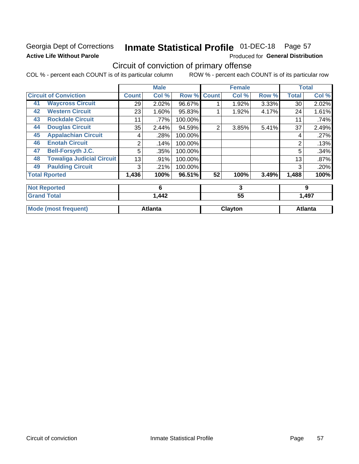### Georgia Dept of Corrections **Active Life Without Parole**

# Inmate Statistical Profile 01-DEC-18 Page 57

Produced for General Distribution

## Circuit of conviction of primary offense

COL % - percent each COUNT is of its particular column ROW % - percent each COUNT is of its particular row

|    |                                  |              | <b>Male</b>    |         |                | <b>Female</b> |       |              | <b>Total</b>   |
|----|----------------------------------|--------------|----------------|---------|----------------|---------------|-------|--------------|----------------|
|    | <b>Circuit of Conviction</b>     | <b>Count</b> | Col %          | Row %   | <b>Count</b>   | Col %         | Row % | <b>Total</b> | Col %          |
| 41 | <b>Waycross Circuit</b>          | 29           | 2.02%          | 96.67%  |                | 1.92%         | 3.33% | 30           | 2.02%          |
| 42 | <b>Western Circuit</b>           | 23           | 1.60%          | 95.83%  |                | 1.92%         | 4.17% | 24           | 1.61%          |
| 43 | <b>Rockdale Circuit</b>          | 11           | .77%           | 100.00% |                |               |       | 11           | .74%           |
| 44 | <b>Douglas Circuit</b>           | 35           | 2.44%          | 94.59%  | $\overline{2}$ | 3.85%         | 5.41% | 37           | 2.49%          |
| 45 | <b>Appalachian Circuit</b>       | 4            | .28%           | 100.00% |                |               |       | 4            | .27%           |
| 46 | <b>Enotah Circuit</b>            | 2            | .14%           | 100.00% |                |               |       | 2            | .13%           |
| 47 | <b>Bell-Forsyth J.C.</b>         | 5            | .35%           | 100.00% |                |               |       | 5            | .34%           |
| 48 | <b>Towaliga Judicial Circuit</b> | 13           | .91%           | 100.00% |                |               |       | 13           | .87%           |
| 49 | <b>Paulding Circuit</b>          | 3            | .21%           | 100.00% |                |               |       | 3            | .20%           |
|    | <b>Total Rported</b>             | 1,436        | 100%           | 96.51%  | 52             | 100%          | 3.49% | 1,488        | 100%           |
|    | <b>Not Reported</b>              |              | 6              |         | 3              |               |       | 9            |                |
|    | <b>Grand Total</b>               |              | 1,442          |         | 55             |               |       | 1,497        |                |
|    | <b>Mode (most frequent)</b>      |              | <b>Atlanta</b> |         |                | Clayton       |       |              | <b>Atlanta</b> |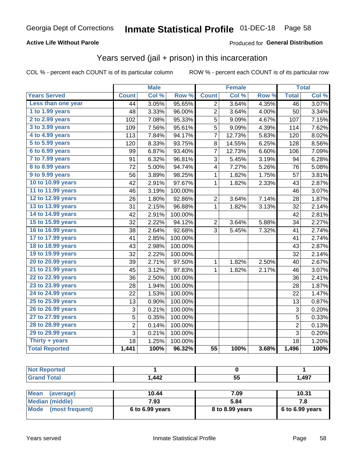### **Active Life Without Parole**

### Produced for General Distribution

### Years served (jail + prison) in this incarceration

COL % - percent each COUNT is of its particular column

|                        |                 | <b>Male</b> |         |                 | <b>Female</b> |       |                | <b>Total</b> |
|------------------------|-----------------|-------------|---------|-----------------|---------------|-------|----------------|--------------|
| <b>Years Served</b>    | <b>Count</b>    | Col %       | Row %   | <b>Count</b>    | Col %         | Row % | <b>Total</b>   | Col %        |
| Less than one year     | $\overline{44}$ | 3.05%       | 95.65%  | $\overline{2}$  | 3.64%         | 4.35% | 46             | 3.07%        |
| 1 to 1.99 years        | 48              | 3.33%       | 96.00%  | 2               | 3.64%         | 4.00% | 50             | 3.34%        |
| 2 to 2.99 years        | 102             | 7.08%       | 95.33%  | 5               | 9.09%         | 4.67% | 107            | 7.15%        |
| 3 to 3.99 years        | 109             | 7.56%       | 95.61%  | 5               | 9.09%         | 4.39% | 114            | 7.62%        |
| 4 to 4.99 years        | 113             | 7.84%       | 94.17%  | $\overline{7}$  | 12.73%        | 5.83% | 120            | 8.02%        |
| 5 to 5.99 years        | 120             | 8.33%       | 93.75%  | 8               | 14.55%        | 6.25% | 128            | 8.56%        |
| 6 to 6.99 years        | 99              | 6.87%       | 93.40%  | 7               | 12.73%        | 6.60% | 106            | 7.09%        |
| 7 to 7.99 years        | 91              | 6.32%       | 96.81%  | 3               | 5.45%         | 3.19% | 94             | 6.28%        |
| <b>8 to 8.99 years</b> | 72              | 5.00%       | 94.74%  | 4               | 7.27%         | 5.26% | 76             | 5.08%        |
| 9 to 9.99 years        | 56              | 3.89%       | 98.25%  | 1               | 1.82%         | 1.75% | 57             | 3.81%        |
| 10 to 10.99 years      | 42              | 2.91%       | 97.67%  | 1               | 1.82%         | 2.33% | 43             | 2.87%        |
| 11 to 11.99 years      | 46              | 3.19%       | 100.00% |                 |               |       | 46             | 3.07%        |
| 12 to 12.99 years      | 26              | 1.80%       | 92.86%  | $\overline{2}$  | 3.64%         | 7.14% | 28             | 1.87%        |
| 13 to 13.99 years      | 31              | 2.15%       | 96.88%  | 1               | 1.82%         | 3.13% | 32             | 2.14%        |
| 14 to 14.99 years      | 42              | 2.91%       | 100.00% |                 |               |       | 42             | 2.81%        |
| 15 to 15.99 years      | 32              | 2.22%       | 94.12%  | $\overline{c}$  | 3.64%         | 5.88% | 34             | 2.27%        |
| 16 to 16.99 years      | 38              | 2.64%       | 92.68%  | 3               | 5.45%         | 7.32% | 41             | 2.74%        |
| 17 to 17.99 years      | 41              | 2.85%       | 100.00% |                 |               |       | 41             | 2.74%        |
| 18 to 18.99 years      | 43              | 2.98%       | 100.00% |                 |               |       | 43             | 2.87%        |
| 19 to 19.99 years      | 32              | 2.22%       | 100.00% |                 |               |       | 32             | 2.14%        |
| 20 to 20.99 years      | 39              | 2.71%       | 97.50%  | 1               | 1.82%         | 2.50% | 40             | 2.67%        |
| 21 to 21.99 years      | 45              | 3.12%       | 97.83%  | $\mathbf 1$     | 1.82%         | 2.17% | 46             | 3.07%        |
| 22 to 22.99 years      | 36              | 2.50%       | 100.00% |                 |               |       | 36             | 2.41%        |
| 23 to 23.99 years      | 28              | 1.94%       | 100.00% |                 |               |       | 28             | 1.87%        |
| 24 to 24.99 years      | 22              | 1.53%       | 100.00% |                 |               |       | 22             | 1.47%        |
| 25 to 25.99 years      | 13              | 0.90%       | 100.00% |                 |               |       | 13             | 0.87%        |
| 26 to 26.99 years      | 3               | 0.21%       | 100.00% |                 |               |       | 3              | 0.20%        |
| 27 to 27.99 years      | 5               | 0.35%       | 100.00% |                 |               |       | $\overline{5}$ | 0.33%        |
| 28 to 28.99 years      | $\overline{c}$  | 0.14%       | 100.00% |                 |               |       | $\overline{2}$ | 0.13%        |
| 29 to 29.99 years      | 3               | 0.21%       | 100.00% |                 |               |       | 3              | 0.20%        |
| Thirty + years         | 18              | 1.25%       | 100.00% |                 |               |       | 18             | 1.20%        |
| <b>Total Reported</b>  | 1,441           | 100%        | 96.32%  | $\overline{55}$ | 100%          | 3.68% | 1,496          | 100%         |

| rtea<br>$\sim$                |      |          |       |
|-------------------------------|------|----------|-------|
| $f = 4 - 7$<br>υιαι<br>$\sim$ | ,442 | --<br>ູບ | 1,497 |

| Mean<br>(average)    | 10.44             | 7.09            | 10.31             |
|----------------------|-------------------|-----------------|-------------------|
| Median (middle)      | 7.93              | 5.84            |                   |
| Mode (most frequent) | $6$ to 6.99 years | 8 to 8.99 years | $6$ to 6.99 years |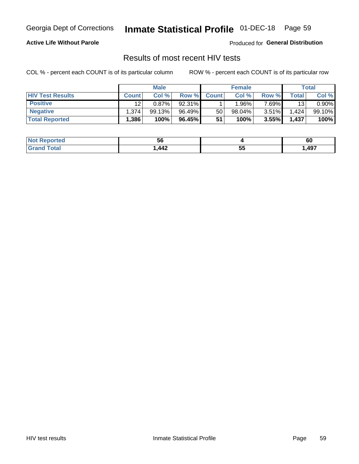# Inmate Statistical Profile 01-DEC-18 Page 59

### **Active Life Without Parole**

Produced for General Distribution

### Results of most recent HIV tests

COL % - percent each COUNT is of its particular column

|                         | <b>Male</b>    |          |        | <b>Female</b> |        |          | Total   |        |
|-------------------------|----------------|----------|--------|---------------|--------|----------|---------|--------|
| <b>HIV Test Results</b> | <b>Count</b>   | Col %    | Row %I | <b>Count</b>  | Col %  | Row %    | Total . | Col %  |
| <b>Positive</b>         | 12             | $0.87\%$ | 92.31% |               | .96%   | $7.69\%$ | 13      | 0.90%  |
| <b>Negative</b>         | .374           | 99.13%   | 96.49% | 50            | 98.04% | $3.51\%$ | 1,424   | 99.10% |
| <b>Total Reported</b>   | $.386^{\circ}$ | 100%     | 96.45% | 51            | 100%   | 3.55%    | 1,437   | 100%   |

| ported<br>I NOT        | 5p   |             | 60   |
|------------------------|------|-------------|------|
| $\sim$ $\sim$<br>. Gro | ,442 | --<br><br>◡ | ,497 |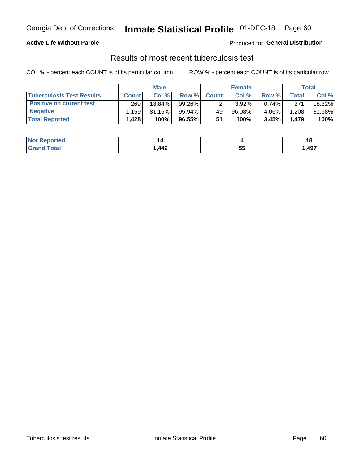## Georgia Dept of Corrections **Inmate Statistical Profile** 01-DEC-18 Page 60

### **Active Life Without Parole**

Produced for **General Distribution**

### Results of most recent tuberculosis test

COL % - percent each COUNT is of its particular column ROW % - percent each COUNT is of its particular row

|                                  | <b>Male</b>  |           |        |              | <b>Female</b> | Total    |       |        |
|----------------------------------|--------------|-----------|--------|--------------|---------------|----------|-------|--------|
| <b>Tuberculosis Test Results</b> | <b>Count</b> | Col%      | Row %I | <b>Count</b> | Col %         | Row %    | Total | Col %  |
| <b>Positive on current test</b>  | 269          | 18.84%    | 99.26% |              | 3.92%         | $0.74\%$ | 271   | 18.32% |
| <b>Negative</b>                  | .159         | $81.16\%$ | 95.94% | 49           | $96.08\%$     | 4.06%    | .208  | 81.68% |
| <b>Total Reported</b>            | .428         | 100%      | 96.55% | 51           | 100%          | 3.45%    | 1,479 | 100%   |

| <b>Not Reported</b> |                    |          |      |
|---------------------|--------------------|----------|------|
| <b>Total</b>        | $\boldsymbol{A12}$ | --<br>JJ | ,497 |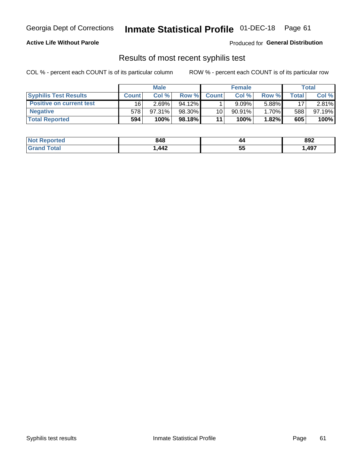## Georgia Dept of Corrections **Inmate Statistical Profile** 01-DEC-18 Page 61

### **Active Life Without Parole**

Produced for **General Distribution**

### Results of most recent syphilis test

COL % - percent each COUNT is of its particular column ROW % - percent each COUNT is of its particular row

|                                 | <b>Male</b>  |           |           | <b>Female</b> |           |        | Total |        |
|---------------------------------|--------------|-----------|-----------|---------------|-----------|--------|-------|--------|
| <b>Syphilis Test Results</b>    | <b>Count</b> | Col %     | Row %     | <b>Count</b>  | Col %     | Row %I | Total | Col %  |
| <b>Positive on current test</b> | 16           | 2.69%     | $94.12\%$ |               | 9.09%     | 5.88%  | 17    | 2.81%  |
| <b>Negative</b>                 | 578          | $97.31\%$ | 98.30%    | 10            | $90.91\%$ | 1.70%  | 588   | 97.19% |
| <b>Total Reported</b>           | 594          | 100%      | 98.18%I   | 11            | 100%      | 1.82%  | 605   | 100%   |

| <b>Not Reported</b> | 848 | 44      | 892  |
|---------------------|-----|---------|------|
| Total               | 442 | 45<br>◡ | ,497 |